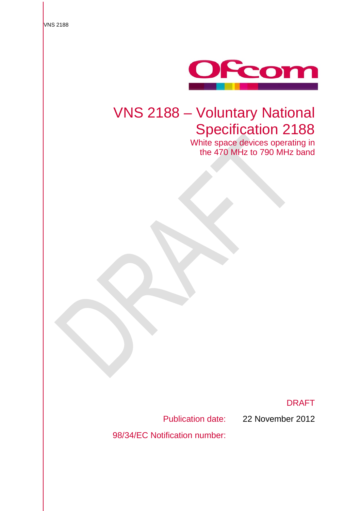

# VNS 2188 – Voluntary National Specification 2188

White space devices operating in the 470 MHz to 790 MHz band

DRAFT

98/34/EC Notification number:

Publication date: 22 November 2012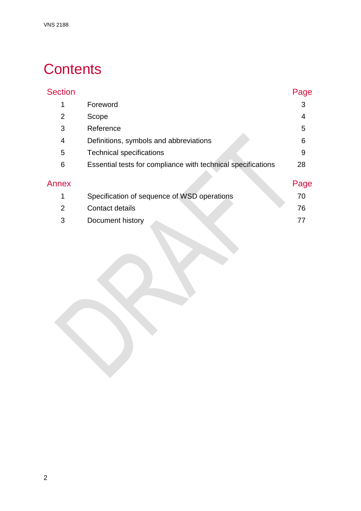# **Contents**

| <b>Section</b> |                                                              | Page |
|----------------|--------------------------------------------------------------|------|
| 1              | Foreword                                                     | 3    |
| 2              | Scope                                                        | 4    |
| 3              | Reference                                                    | 5    |
| 4              | Definitions, symbols and abbreviations                       | 6    |
| 5              | <b>Technical specifications</b>                              | 9    |
| 6              | Essential tests for compliance with technical specifications | 28   |
| Annex          |                                                              | Page |
| 1              | Specification of sequence of WSD operations                  | 70   |
| $\overline{2}$ | Contact details                                              | 76   |
| 3              | Document history                                             | 77   |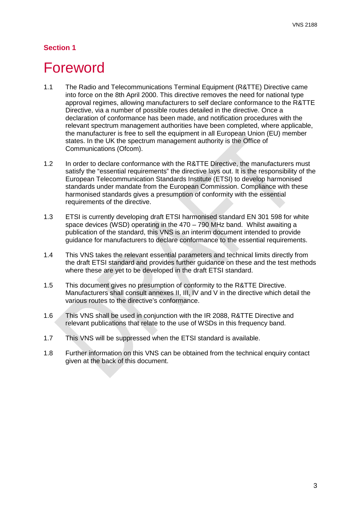# <span id="page-3-0"></span>**Foreword**

- 1.1 The Radio and Telecommunications Terminal Equipment (R&TTE) Directive came into force on the 8th April 2000. This directive removes the need for national type approval regimes, allowing manufacturers to self declare conformance to the R&TTE Directive, via a number of possible routes detailed in the directive. Once a declaration of conformance has been made, and notification procedures with the relevant spectrum management authorities have been completed, where applicable, the manufacturer is free to sell the equipment in all European Union (EU) member states. In the UK the spectrum management authority is the Office of Communications (Ofcom).
- 1.2 In order to declare conformance with the R&TTE Directive, the manufacturers must satisfy the "essential requirements" the directive lays out. It is the responsibility of the European Telecommunication Standards Institute (ETSI) to develop harmonised standards under mandate from the European Commission. Compliance with these harmonised standards gives a presumption of conformity with the essential requirements of the directive.
- 1.3 ETSI is currently developing draft ETSI harmonised standard EN 301 598 for white space devices (WSD) operating in the 470 – 790 MHz band. Whilst awaiting a publication of the standard, this VNS is an interim document intended to provide guidance for manufacturers to declare conformance to the essential requirements.
- 1.4 This VNS takes the relevant essential parameters and technical limits directly from the draft ETSI standard and provides further guidance on these and the test methods where these are yet to be developed in the draft ETSI standard.
- 1.5 This document gives no presumption of conformity to the R&TTE Directive. Manufacturers shall consult annexes II, III, IV and V in the directive which detail the various routes to the directive's conformance.
- 1.6 This VNS shall be used in conjunction with the IR 2088, R&TTE Directive and relevant publications that relate to the use of WSDs in this frequency band.
- 1.7 This VNS will be suppressed when the ETSI standard is available.
- 1.8 Further information on this VNS can be obtained from the technical enquiry contact given at the back of this document.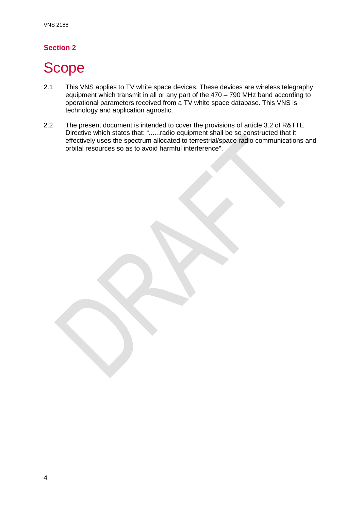# <span id="page-4-0"></span>Scope

- 2.1 This VNS applies to TV white space devices. These devices are wireless telegraphy equipment which transmit in all or any part of the 470 – 790 MHz band according to operational parameters received from a TV white space database. This VNS is technology and application agnostic.
- 2.2 The present document is intended to cover the provisions of article 3.2 of R&TTE Directive which states that: "......radio equipment shall be so constructed that it effectively uses the spectrum allocated to terrestrial/space radio communications and orbital resources so as to avoid harmful interference".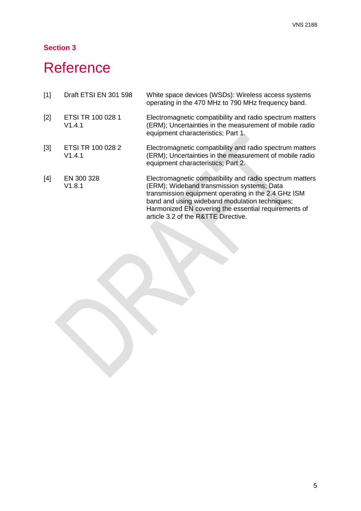# <span id="page-5-0"></span>**Reference**

| $[1]$ | Draft ETSI EN 301 598       | White space devices (WSDs): Wireless access systems<br>operating in the 470 MHz to 790 MHz frequency band.                                                                                                                                                                                                     |
|-------|-----------------------------|----------------------------------------------------------------------------------------------------------------------------------------------------------------------------------------------------------------------------------------------------------------------------------------------------------------|
| $[2]$ | ETSI TR 100 028 1<br>V1.4.1 | Electromagnetic compatibility and radio spectrum matters<br>(ERM); Uncertainties in the measurement of mobile radio<br>equipment characteristics; Part 1.                                                                                                                                                      |
| $[3]$ | ETSI TR 100 028 2<br>V1.4.1 | Electromagnetic compatibility and radio spectrum matters<br>(ERM); Uncertainties in the measurement of mobile radio<br>equipment characteristics; Part 2.                                                                                                                                                      |
| [4]   | EN 300 328<br>V1.8.1        | Electromagnetic compatibility and radio spectrum matters<br>(ERM); Wideband transmission systems; Data<br>transmission equipment operating in the 2.4 GHz ISM<br>band and using wideband modulation techniques;<br>Harmonized EN covering the essential requirements of<br>article 3.2 of the R&TTE Directive. |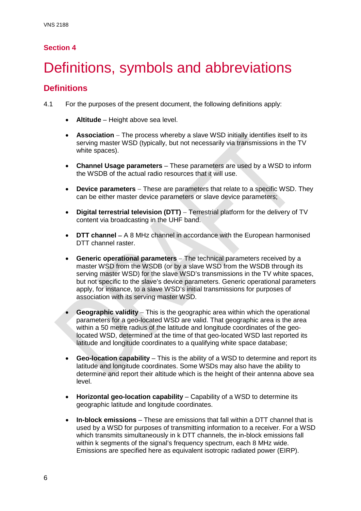# <span id="page-6-0"></span>Definitions, symbols and abbreviations

# **Definitions**

4.1 For the purposes of the present document, the following definitions apply:

- **Altitude** Height above sea level.
- **Association** − The process whereby a slave WSD initially identifies itself to its serving master WSD (typically, but not necessarily via transmissions in the TV white spaces).
- **Channel Usage parameters** These parameters are used by a WSD to inform the WSDB of the actual radio resources that it will use.
- **Device parameters** − These are parameters that relate to a specific WSD. They can be either master device parameters or slave device parameters;
- **Digital terrestrial television (DTT)** − Terrestrial platform for the delivery of TV content via broadcasting in the UHF band.
- **DTT channel** − A 8 MHz channel in accordance with the European harmonised DTT channel raster.
- **Generic operational parameters** − The technical parameters received by a master WSD from the WSDB (or by a slave WSD from the WSDB through its serving master WSD) for the slave WSD's transmissions in the TV white spaces, but not specific to the slave's device parameters. Generic operational parameters apply, for instance, to a slave WSD's initial transmissions for purposes of association with its serving master WSD.
- **Geographic validity** − This is the geographic area within which the operational parameters for a geo-located WSD are valid. That geographic area is the area within a 50 metre radius of the latitude and longitude coordinates of the geolocated WSD, determined at the time of that geo-located WSD last reported its latitude and longitude coordinates to a qualifying white space database;
- **Geo-location capability** This is the ability of a WSD to determine and report its latitude and longitude coordinates. Some WSDs may also have the ability to determine and report their altitude which is the height of their antenna above sea level.
- **Horizontal geo-location capability** Capability of a WSD to determine its geographic latitude and longitude coordinates.
- **In-block emissions** These are emissions that fall within a DTT channel that is used by a WSD for purposes of transmitting information to a receiver. For a WSD which transmits simultaneously in k DTT channels, the in-block emissions fall within k segments of the signal's frequency spectrum, each 8 MHz wide. Emissions are specified here as equivalent isotropic radiated power (EIRP).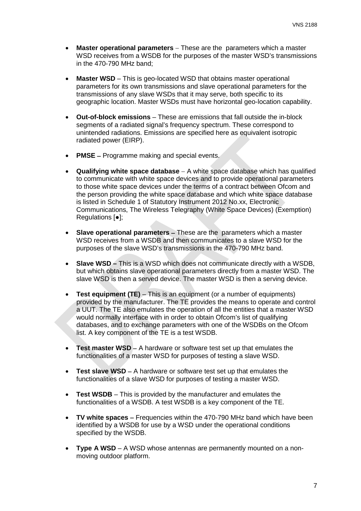- **Master operational parameters** − These are the parameters which a master WSD receives from a WSDB for the purposes of the master WSD's transmissions in the 470-790 MHz band;
- **Master WSD** This is geo-located WSD that obtains master operational parameters for its own transmissions and slave operational parameters for the transmissions of any slave WSDs that it may serve, both specific to its geographic location. Master WSDs must have horizontal geo-location capability.
- **Out-of-block emissions** These are emissions that fall outside the in-block segments of a radiated signal's frequency spectrum. These correspond to unintended radiations. Emissions are specified here as equivalent isotropic radiated power (EIRP).
- **PMSE** − Programme making and special events.
- **Qualifying white space database** − A white space database which has qualified to communicate with white space devices and to provide operational parameters to those white space devices under the terms of a contract between Ofcom and the person providing the white space database and which white space database is listed in Schedule 1 of Statutory Instrument 2012 No.xx, Electronic Communications, The Wireless Telegraphy (White Space Devices) (Exemption) Regulations [●];
- **Slave operational parameters** − These are the parameters which a master WSD receives from a WSDB and then communicates to a slave WSD for the purposes of the slave WSD's transmissions in the 470-790 MHz band.
- **Slave WSD –** This is a WSD which does not communicate directly with a WSDB, but which obtains slave operational parameters directly from a master WSD. The slave WSD is then a served device. The master WSD is then a serving device.
- **Test equipment (TE)** This is an equipment (or a number of equipments) provided by the manufacturer. The TE provides the means to operate and control a UUT. The TE also emulates the operation of all the entities that a master WSD would normally interface with in order to obtain Ofcom's list of qualifying databases, and to exchange parameters with one of the WSDBs on the Ofcom list. A key component of the TE is a test WSDB.
- **Test master WSD** − A hardware or software test set up that emulates the functionalities of a master WSD for purposes of testing a slave WSD.
- **Test slave WSD** − A hardware or software test set up that emulates the functionalities of a slave WSD for purposes of testing a master WSD.
- **Test WSDB** This is provided by the manufacturer and emulates the functionalities of a WSDB. A test WSDB is a key component of the TE.
- **TV white spaces** − Frequencies within the 470-790 MHz band which have been identified by a WSDB for use by a WSD under the operational conditions specified by the WSDB.
- **Type A WSD**  A WSD whose antennas are permanently mounted on a nonmoving outdoor platform.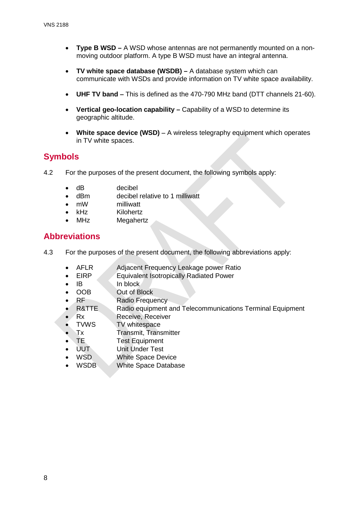- **Type B WSD –** A WSD whose antennas are not permanently mounted on a nonmoving outdoor platform. A type B WSD must have an integral antenna.
- **TV white space database (WSDB) –** A database system which can communicate with WSDs and provide information on TV white space availability.
- **UHF TV band** − This is defined as the 470-790 MHz band (DTT channels 21-60).
- **Vertical geo-location capability –** Capability of a WSD to determine its geographic altitude.
- **White space device (WSD)** − A wireless telegraphy equipment which operates in TV white spaces.

# **Symbols**

- 4.2 For the purposes of the present document, the following symbols apply:
	- dB decibel
	- dBm decibel relative to 1 milliwatt
	- mW milliwatt
	-
	- kHz Kilohertz **Megahertz**

# **Abbreviations**

- 4.3 For the purposes of the present document, the following abbreviations apply:
	- AFLR Adjacent Frequency Leakage power Ratio
	- **EIRP** Equivalent Isotropically Radiated Power
	- IB In block<br>OOB Out of B
	- **Out of Block**
	- RF Radio Frequency
	- R&TTE Radio equipment and Telecommunications Terminal Equipment
	- Rx Receive, Receiver
	- TVWS TV whitespace
	- Tx Transmit, Transmitter
	- **TE Test Equipment**
	- UUT Unit Under Test
	- WSD White Space Device
	- WSDB White Space Database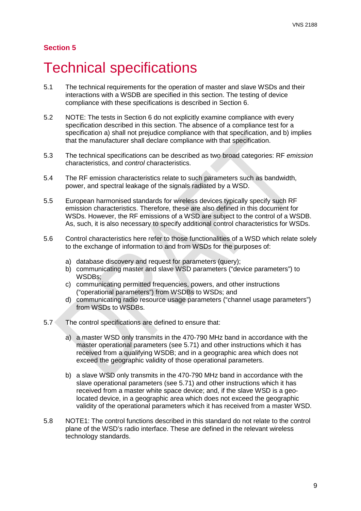# <span id="page-9-0"></span>5 Technical specifications

- 5.1 The technical requirements for the operation of master and slave WSDs and their interactions with a WSDB are specified in this section. The testing of device compliance with these specifications is described in Section 6.
- 5.2 NOTE: The tests in Section 6 do not explicitly examine compliance with every specification described in this section. The absence of a compliance test for a specification a) shall not prejudice compliance with that specification, and b) implies that the manufacturer shall declare compliance with that specification.
- 5.3 The technical specifications can be described as two broad categories: RF *emission* characteristics, and *control* characteristics.
- 5.4 The RF emission characteristics relate to such parameters such as bandwidth, power, and spectral leakage of the signals radiated by a WSD.
- 5.5 European harmonised standards for wireless devices typically specify such RF emission characteristics. Therefore, these are also defined in this document for WSDs. However, the RF emissions of a WSD are subject to the control of a WSDB. As, such, it is also necessary to specify additional control characteristics for WSDs.
- 5.6 Control characteristics here refer to those functionalities of a WSD which relate solely to the exchange of information to and from WSDs for the purposes of:
	- a) database discovery and request for parameters (query);
	- b) communicating master and slave WSD parameters ("device parameters") to WSDBs;
	- c) communicating permitted frequencies, powers, and other instructions ("operational parameters") from WSDBs to WSDs; and
	- d) communicating radio resource usage parameters ("channel usage parameters") from WSDs to WSDBs.
- 5.7 The control specifications are defined to ensure that:
	- a) a master WSD only transmits in the 470-790 MHz band in accordance with the master operational parameters (see [5.71\)](#page-22-0) and other instructions which it has received from a qualifying WSDB; and in a geographic area which does not exceed the geographic validity of those operational parameters.
	- b) a slave WSD only transmits in the 470-790 MHz band in accordance with the slave operational parameters (see [5.71\)](#page-22-0) and other instructions which it has received from a master white space device; and, if the slave WSD is a geolocated device, in a geographic area which does not exceed the geographic validity of the operational parameters which it has received from a master WSD.
- 5.8 NOTE1: The control functions described in this standard do not relate to the control plane of the WSD's radio interface. These are defined in the relevant wireless technology standards.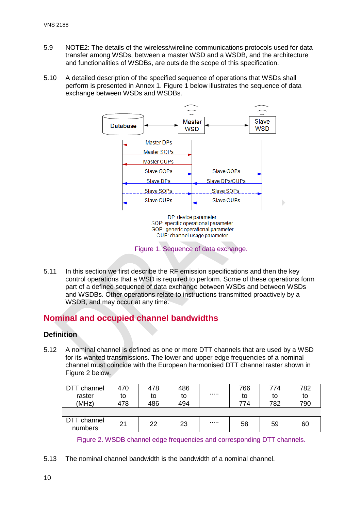- 5.9 NOTE2: The details of the wireless/wireline communications protocols used for data transfer among WSDs, between a master WSD and a WSDB, and the architecture and functionalities of WSDBs, are outside the scope of this specification.
- 5.10 A detailed description of the specified sequence of operations that WSDs shall perform is presented in Annex 1. Figure 1 below illustrates the sequence of data exchange between WSDs and WSDBs.



5.11 In this section we first describe the RF emission specifications and then the key control operations that a WSD is required to perform. Some of these operations form part of a defined sequence of data exchange between WSDs and between WSDs and WSDBs. Other operations relate to instructions transmitted proactively by a WSDB, and may occur at any time.

# **Nominal and occupied channel bandwidths**

# **Definition**

<span id="page-10-0"></span>5.12 A nominal channel is defined as one or more DTT channels that are used by a WSD for its wanted transmissions. The lower and upper edge frequencies of a nominal channel must coincide with the European harmonised DTT channel raster shown in Figure 2 below.

| DTT channel            | 470 | 478 | 486 | 766    | 774 | 782 |
|------------------------|-----|-----|-----|--------|-----|-----|
| raster                 | to  | to  | to  | <br>to | to  | to  |
| (MHz)                  | 478 | 486 | 494 | 774    | 782 | 790 |
|                        |     |     |     |        |     |     |
| DTT channel<br>numbers | 21  | 22  | 23  | <br>58 | 59  | 60  |

Figure 2. WSDB channel edge frequencies and corresponding DTT channels.

5.13 The nominal channel bandwidth is the bandwidth of a nominal channel.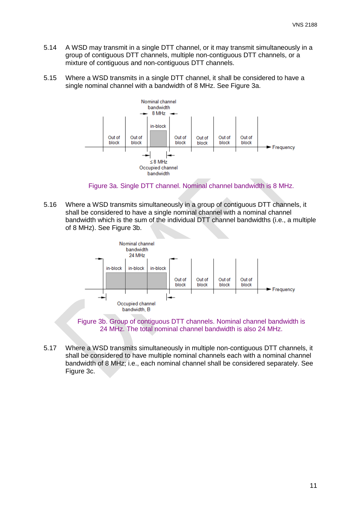- 5.14 A WSD may transmit in a single DTT channel, or it may transmit simultaneously in a group of contiguous DTT channels, multiple non-contiguous DTT channels, or a mixture of contiguous and non-contiguous DTT channels.
- 5.15 Where a WSD transmits in a single DTT channel, it shall be considered to have a single nominal channel with a bandwidth of 8 MHz. See Figure 3a.



Figure 3a. Single DTT channel. Nominal channel bandwidth is 8 MHz.

5.16 Where a WSD transmits simultaneously in a group of contiguous DTT channels, it shall be considered to have a single nominal channel with a nominal channel bandwidth which is the sum of the individual DTT channel bandwidths (i.e., a multiple of 8 MHz). See Figure 3b.



Figure 3b. Group of contiguous DTT channels. Nominal channel bandwidth is 24 MHz. The total nominal channel bandwidth is also 24 MHz.

5.17 Where a WSD transmits simultaneously in multiple non-contiguous DTT channels, it shall be considered to have multiple nominal channels each with a nominal channel bandwidth of 8 MHz; i.e., each nominal channel shall be considered separately. See Figure 3c.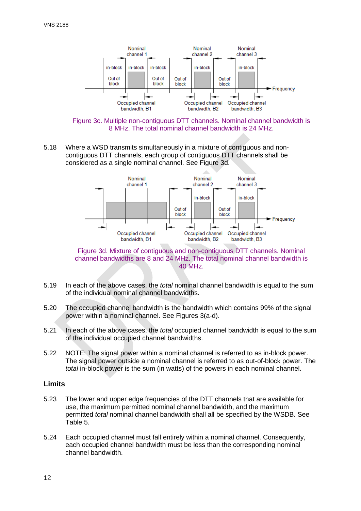

Figure 3c. Multiple non-contiguous DTT channels. Nominal channel bandwidth is 8 MHz. The total nominal channel bandwidth is 24 MHz.

5.18 Where a WSD transmits simultaneously in a mixture of contiguous and noncontiguous DTT channels, each group of contiguous DTT channels shall be considered as a single nominal channel. See Figure 3d.



Figure 3d. Mixture of contiguous and non-contiguous DTT channels. Nominal channel bandwidths are 8 and 24 MHz. The total nominal channel bandwidth is 40 MHz.

- 5.19 In each of the above cases, the *total* nominal channel bandwidth is equal to the sum of the individual nominal channel bandwidths.
- 5.20 The occupied channel bandwidth is the bandwidth which contains 99% of the signal power within a nominal channel. See Figures 3(a-d).
- 5.21 In each of the above cases, the *total* occupied channel bandwidth is equal to the sum of the individual occupied channel bandwidths.
- 5.22 NOTE: The signal power within a nominal channel is referred to as in-block power. The signal power outside a nominal channel is referred to as out-of-block power. The *total* in-block power is the sum (in watts) of the powers in each nominal channel.

## **Limits**

- 5.23 The lower and upper edge frequencies of the DTT channels that are available for use, the maximum permitted nominal channel bandwidth, and the maximum permitted *total* nominal channel bandwidth shall all be specified by the WSDB. See Table 5.
- <span id="page-12-0"></span>5.24 Each occupied channel must fall entirely within a nominal channel. Consequently, each occupied channel bandwidth must be less than the corresponding nominal channel bandwidth.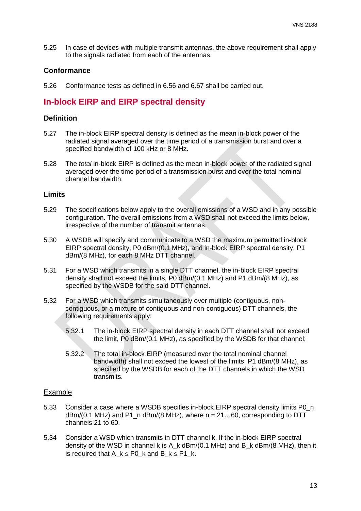5.25 In case of devices with multiple transmit antennas, the above requirement shall apply to the signals radiated from each of the antennas.

#### **Conformance**

5.26 Conformance tests as defined in [6.56](#page-34-0) and [6.67](#page-36-0) shall be carried out.

# **In-block EIRP and EIRP spectral density**

#### **Definition**

- <span id="page-13-0"></span>5.27 The in-block EIRP spectral density is defined as the mean in-block power of the radiated signal averaged over the time period of a transmission burst and over a specified bandwidth of 100 kHz or 8 MHz.
- 5.28 The *total* in-block EIRP is defined as the mean in-block power of the radiated signal averaged over the time period of a transmission burst and over the total nominal channel bandwidth.

#### **Limits**

- 5.29 The specifications below apply to the overall emissions of a WSD and in any possible configuration. The overall emissions from a WSD shall not exceed the limits below, irrespective of the number of transmit antennas.
- 5.30 A WSDB will specify and communicate to a WSD the maximum permitted in-block EIRP spectral density, P0 dBm/(0.1 MHz), and in-block EIRP spectral density, P1 dBm/(8 MHz), for each 8 MHz DTT channel.
- 5.31 For a WSD which transmits in a single DTT channel, the in-block EIRP spectral density shall not exceed the limits, P0 dBm/(0.1 MHz) and P1 dBm/(8 MHz), as specified by the WSDB for the said DTT channel.
- 5.32 For a WSD which transmits simultaneously over multiple (contiguous, noncontiguous, or a mixture of contiguous and non-contiguous) DTT channels, the following requirements apply:
	- 5.32.1 The in-block EIRP spectral density in each DTT channel shall not exceed the limit, P0 dBm/(0.1 MHz), as specified by the WSDB for that channel;
	- 5.32.2 The total in-block EIRP (measured over the total nominal channel bandwidth) shall not exceed the lowest of the limits, P1 dBm/(8 MHz), as specified by the WSDB for each of the DTT channels in which the WSD transmits.

## Example

- 5.33 Consider a case where a WSDB specifies in-block EIRP spectral density limits P0 n dBm/(0.1 MHz) and P1\_n dBm/(8 MHz), where  $n = 21...60$ , corresponding to DTT channels 21 to 60.
- 5.34 Consider a WSD which transmits in DTT channel k. If the in-block EIRP spectral density of the WSD in channel k is A\_k dBm/(0.1 MHz) and B\_k dBm/(8 MHz), then it is required that A\_k  $\leq$  P0\_k and B\_k  $\leq$  P1\_k.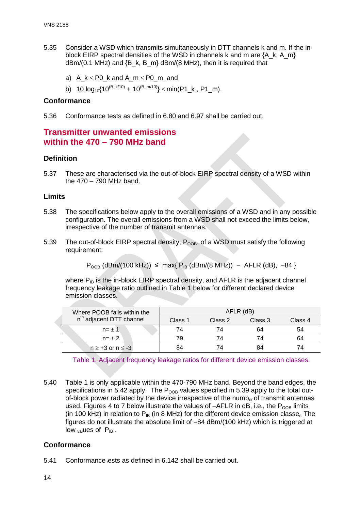- 5.35 Consider a WSD which transmits simultaneously in DTT channels k and m. If the inblock EIRP spectral densities of the WSD in channels k and m are  ${A_k, A_m}$  $dBm/(0.1 \text{ MHz})$  and  $\{B_k, B_m\}$  dBm/(8 MHz), then it is required that
	- a) A  $k \le P0$  k and A m  $\le P0$  m, and
	- b) 10  $log_{10}\{10^{(B_k/10)} + 10^{(B_m/10)}\} \leq min(P1_k, P1_m)$ .

### **Conformance**

5.36 Conformance tests as defined in [6.80](#page-39-0) and [6.97](#page-42-0) shall be carried out.

# **Transmitter unwanted emissions within the 470 – 790 MHz band**

## **Definition**

5.37 These are characterised via the out-of-block EIRP spectral density of a WSD within the 470 – 790 MHz band.

#### **Limits**

- 5.38 The specifications below apply to the overall emissions of a WSD and in any possible configuration. The overall emissions from a WSD shall not exceed the limits below, irrespective of the number of transmit antennas.
- <span id="page-14-0"></span>5.39 The out-of-block EIRP spectral density,  $P_{OOB}$ , of a WSD must satisfy the following requirement:

 $P_{\text{OOB}}$  (dBm/(100 kHz))  $\leq$  max{  $P_{\text{IB}}$  (dBm/(8 MHz)) – AFLR (dB), -84 }

where  $P_{IB}$  is the in-block EIRP spectral density, and AFLR is the adjacent channel frequency leakage ratio outlined in Table 1 below for different declared device emission classes.

| Where POOB falls within the          |         | AFLR (dB) |         |         |
|--------------------------------------|---------|-----------|---------|---------|
| n <sup>th</sup> adjacent DTT channel | Class 1 | Class 2   | Class 3 | Class 4 |
| $n = \pm 1$                          | 74      |           | 64      | 54      |
| $n = \pm 2$                          | 79      |           | 74      |         |
| $n \geq +3$ or $n \leq -3$           | 84      |           |         |         |

Table 1. Adjacent frequency leakage ratios for different device emission classes.

5.40 Table 1 is only applicable within the 470-790 MHz band. Beyond the band edges, the specifications in [5.42](#page-17-0) apply. The  $P_{OOB}$  values specified in [5.39](#page-14-0) apply to the total outof-block power radiated by the device irrespective of the numb<sub>er</sub> of transmit antennas used. Figures 4 to 7 below illustrate the values of  $-AFLR$  in dB, i.e., the P<sub>OOB</sub> limits (in 100 kHz) in relation to  $P_{IB}$  (in 8 MHz) for the different device emission classe<sub>s.</sub> The figures do not illustrate the absolute limit of −84 dBm/(100 kHz) which is triggered at  $low$ <sub>val</sub>ues of  $P_{IB}$ .

## **Conformance**

5.41 Conformance ests as defined in [6.142](#page-49-0) shall be carried out.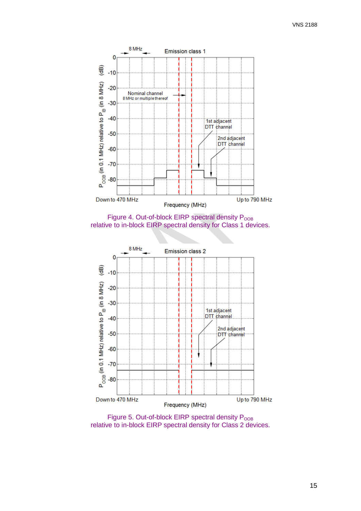





Figure 5. Out-of-block EIRP spectral density  $P_{\text{OOB}}$ relative to in-block EIRP spectral density for Class 2 devices.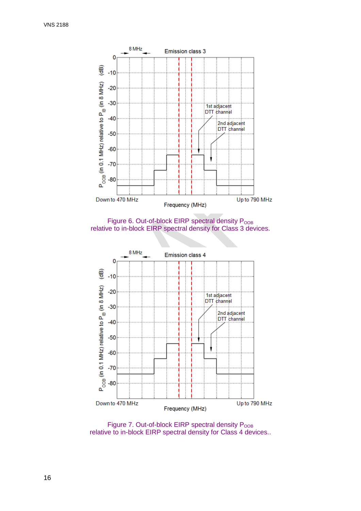

Figure 6. Out-of-block EIRP spectral density  $P<sub>OOB</sub>$ relative to in-block EIRP spectral density for Class 3 devices.



Figure 7. Out-of-block EIRP spectral density  $P_{\text{OOB}}$ relative to in-block EIRP spectral density for Class 4 devices..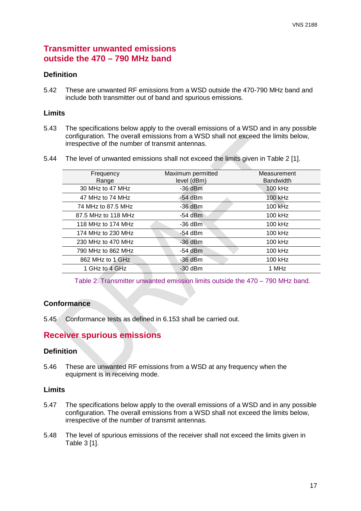# **Transmitter unwanted emissions outside the 470 – 790 MHz band**

# **Definition**

<span id="page-17-0"></span>5.42 These are unwanted RF emissions from a WSD outside the 470-790 MHz band and include both transmitter out of band and spurious emissions.

## **Limits**

- 5.43 The specifications below apply to the overall emissions of a WSD and in any possible configuration. The overall emissions from a WSD shall not exceed the limits below, irrespective of the number of transmit antennas.
- 5.44 The level of unwanted emissions shall not exceed the limits given in Table 2 [1].

| Frequency           | Maximum permitted | Measurement      |
|---------------------|-------------------|------------------|
| Range               | level (dBm)       | <b>Bandwidth</b> |
| 30 MHz to 47 MHz    | $-36$ dBm         | 100 kHz          |
| 47 MHz to 74 MHz    | $-54$ dBm         | 100 kHz          |
| 74 MHz to 87.5 MHz  | $-36$ dBm         | 100 kHz          |
| 87.5 MHz to 118 MHz | -54 dBm           | 100 kHz          |
| 118 MHz to 174 MHz  | $-36$ dBm         | 100 kHz          |
| 174 MHz to 230 MHz  | -54 dBm           | 100 kHz          |
| 230 MHz to 470 MHz  | $-36$ dBm         | 100 kHz          |
| 790 MHz to 862 MHz  | -54 dBm           | 100 kHz          |
| 862 MHz to 1 GHz    | $-36$ dBm         | 100 kHz          |
| 1 GHz to 4 GHz      | $-30$ dBm         | 1 MHz            |
|                     |                   |                  |

Table 2. Transmitter unwanted emission limits outside the 470 – 790 MHz band.

# **Conformance**

5.45 Conformance tests as defined in [6.153](#page-51-0) shall be carried out.

# **Receiver spurious emissions**

## **Definition**

5.46 These are unwanted RF emissions from a WSD at any frequency when the equipment is in receiving mode.

## **Limits**

- 5.47 The specifications below apply to the overall emissions of a WSD and in any possible configuration. The overall emissions from a WSD shall not exceed the limits below, irrespective of the number of transmit antennas.
- 5.48 The level of spurious emissions of the receiver shall not exceed the limits given in Table 3 [1].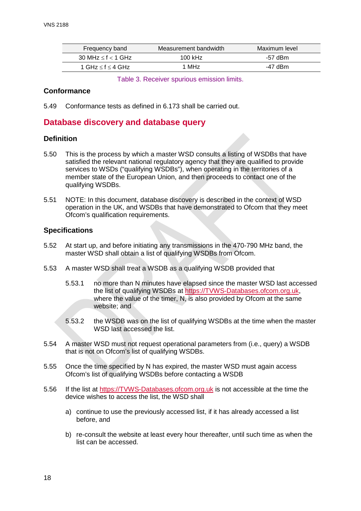| Frequency band              | Measurement bandwidth | Maximum level |
|-----------------------------|-----------------------|---------------|
| 30 MHz $\leq$ f $<$ 1 GHz   | 100 kHz               | -57 dBm       |
| 1 GHz $\leq$ f $\leq$ 4 GHz | 1 MH <sub>z</sub>     | -47 dBm       |

Table 3. Receiver spurious emission limits.

## **Conformance**

5.49 Conformance tests as defined in [6.173](#page-55-0) shall be carried out.

# **Database discovery and database query**

# **Definition**

- 5.50 This is the process by which a master WSD consults a listing of WSDBs that have satisfied the relevant national regulatory agency that they are qualified to provide services to WSDs ("qualifying WSDBs"), when operating in the territories of a member state of the European Union, and then proceeds to contact one of the qualifying WSDBs.
- 5.51 NOTE: In this document, database discovery is described in the context of WSD operation in the UK, and WSDBs that have demonstrated to Ofcom that they meet Ofcom's qualification requirements.

# **Specifications**

- 5.52 At start up, and before initiating any transmissions in the 470-790 MHz band, the master WSD shall obtain a list of qualifying WSDBs from Ofcom.
- 5.53 A master WSD shall treat a WSDB as a qualifying WSDB provided that
	- 5.53.1 no more than N minutes have elapsed since the master WSD last accessed the list of qualifying WSDBs at [https://TVWS-Databases.ofcom.org.uk,](https://tvws-databases.ofcom.org.uk/) where the value of the timer, N, is also provided by Ofcom at the same website; and
	- 5.53.2 the WSDB was on the list of qualifying WSDBs at the time when the master WSD last accessed the list.
- 5.54 A master WSD must not request operational parameters from (i.e., query) a WSDB that is not on Ofcom's list of qualifying WSDBs.
- 5.55 Once the time specified by N has expired, the master WSD must again access Ofcom's list of qualifying WSDBs before contacting a WSDB
- 5.56 If the list at [https://TVWS-Databases.ofcom.org.uk](https://tvws-databases.ofcom.org.uk/) is not accessible at the time the device wishes to access the list, the WSD shall
	- a) continue to use the previously accessed list, if it has already accessed a list before, and
	- b) re-consult the website at least every hour thereafter, until such time as when the list can be accessed.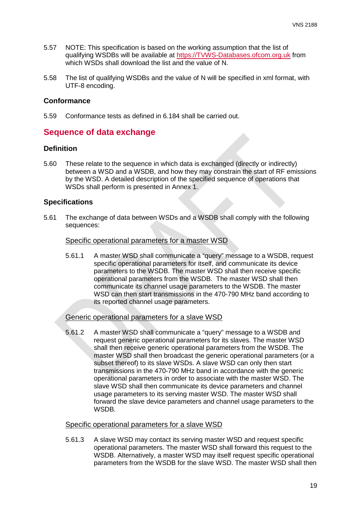- 5.57 NOTE: This specification is based on the working assumption that the list of qualifying WSDBs will be available at [https://TVWS-Databases.ofcom.org.uk](https://tvws-databases.ofcom.org.uk/) from which WSDs shall download the list and the value of N.
- 5.58 The list of qualifying WSDBs and the value of N will be specified in xml format, with UTF-8 encoding.

## **Conformance**

5.59 Conformance tests as defined in [6.184](#page-57-0) shall be carried out.

# **Sequence of data exchange**

# **Definition**

5.60 These relate to the sequence in which data is exchanged (directly or indirectly) between a WSD and a WSDB, and how they may constrain the start of RF emissions by the WSD. A detailed description of the specified sequence of operations that WSDs shall perform is presented in Annex 1.

# **Specifications**

5.61 The exchange of data between WSDs and a WSDB shall comply with the following sequences:

#### Specific operational parameters for a master WSD

5.61.1 A master WSD shall communicate a "query" message to a WSDB, request specific operational parameters for itself, and communicate its device parameters to the WSDB. The master WSD shall then receive specific operational parameters from the WSDB. The master WSD shall then communicate its channel usage parameters to the WSDB. The master WSD can then start transmissions in the 470-790 MHz band according to its reported channel usage parameters.

## Generic operational parameters for a slave WSD

5.61.2 A master WSD shall communicate a "query" message to a WSDB and request generic operational parameters for its slaves. The master WSD shall then receive generic operational parameters from the WSDB. The master WSD shall then broadcast the generic operational parameters (or a subset thereof) to its slave WSDs. A slave WSD can only then start transmissions in the 470-790 MHz band in accordance with the generic operational parameters in order to associate with the master WSD. The slave WSD shall then communicate its device parameters and channel usage parameters to its serving master WSD. The master WSD shall forward the slave device parameters and channel usage parameters to the WSDB.

## Specific operational parameters for a slave WSD

5.61.3 A slave WSD may contact its serving master WSD and request specific operational parameters. The master WSD shall forward this request to the WSDB. Alternatively, a master WSD may itself request specific operational parameters from the WSDB for the slave WSD. The master WSD shall then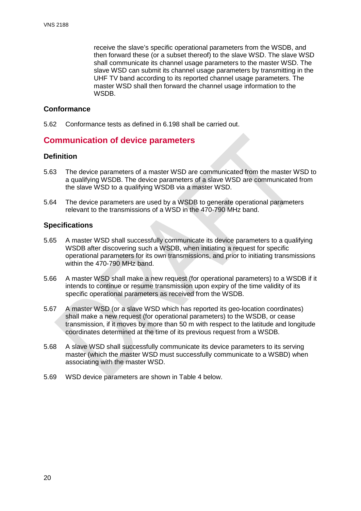receive the slave's specific operational parameters from the WSDB, and then forward these (or a subset thereof) to the slave WSD. The slave WSD shall communicate its channel usage parameters to the master WSD. The slave WSD can submit its channel usage parameters by transmitting in the UHF TV band according to its reported channel usage parameters. The master WSD shall then forward the channel usage information to the WSD<sub>B</sub>

## **Conformance**

5.62 Conformance tests as defined in [6.198](#page-61-0) shall be carried out.

# **Communication of device parameters**

# **Definition**

- 5.63 The device parameters of a master WSD are communicated from the master WSD to a qualifying WSDB. The device parameters of a slave WSD are communicated from the slave WSD to a qualifying WSDB via a master WSD.
- 5.64 The device parameters are used by a WSDB to generate operational parameters relevant to the transmissions of a WSD in the 470-790 MHz band.

# **Specifications**

- 5.65 A master WSD shall successfully communicate its device parameters to a qualifying WSDB after discovering such a WSDB, when initiating a request for specific operational parameters for its own transmissions, and prior to initiating transmissions within the 470-790 MHz band.
- 5.66 A master WSD shall make a new request (for operational parameters) to a WSDB if it intends to continue or resume transmission upon expiry of the time validity of its specific operational parameters as received from the WSDB.
- 5.67 A master WSD (or a slave WSD which has reported its geo-location coordinates) shall make a new request (for operational parameters) to the WSDB, or cease transmission, if it moves by more than 50 m with respect to the latitude and longitude coordinates determined at the time of its previous request from a WSDB.
- 5.68 A slave WSD shall successfully communicate its device parameters to its serving master (which the master WSD must successfully communicate to a WSBD) when associating with the master WSD.
- 5.69 WSD device parameters are shown in Table 4 below.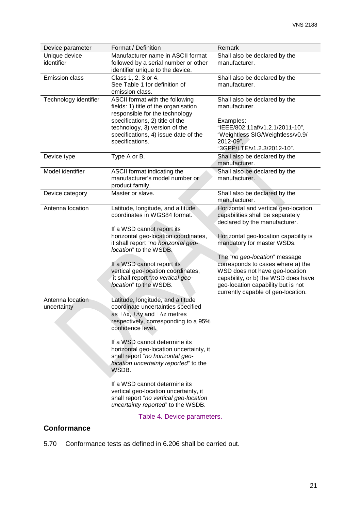| Device parameter      | Format / Definition                                                      | Remark                                |
|-----------------------|--------------------------------------------------------------------------|---------------------------------------|
| Unique device         | Manufacturer name in ASCII format                                        | Shall also be declared by the         |
| identifier            | followed by a serial number or other<br>identifier unique to the device. | manufacturer.                         |
| <b>Emission class</b> | Class 1, 2, 3 or 4.                                                      | Shall also be declared by the         |
|                       | See Table 1 for definition of                                            | manufacturer.                         |
|                       | emission class.                                                          |                                       |
| Technology identifier | ASCII format with the following                                          | Shall also be declared by the         |
|                       | fields: 1) title of the organisation<br>responsible for the technology   | manufacturer.                         |
|                       | specifications, 2) title of the                                          | Examples:                             |
|                       | technology, 3) version of the                                            | "IEEE/802.11af/v1.2.1/2011-10",       |
|                       | specifications, 4) issue date of the                                     | "Weightless SIG/Weightless/v0.9/      |
|                       | specifications.                                                          | 2012-09",                             |
|                       |                                                                          | "3GPP/LTE/v1.2.3/2012-10".            |
| Device type           | Type A or B.                                                             | Shall also be declared by the         |
|                       |                                                                          | manufacturer.                         |
| Model identifier      | ASCII format indicating the                                              | Shall also be declared by the         |
|                       | manufacturer's model number or                                           | manufacturer.                         |
| Device category       | product family.<br>Master or slave.                                      | Shall also be declared by the         |
|                       |                                                                          | manufacturer.                         |
| Antenna location      | Latitude, longitude, and altitude                                        | Horizontal and vertical geo-location  |
|                       | coordinates in WGS84 format.                                             | capabilities shall be separately      |
|                       |                                                                          | declared by the manufacturer.         |
|                       | If a WSD cannot report its                                               |                                       |
|                       | horizontal geo-location coordinates,                                     | Horizontal geo-location capability is |
|                       | it shall report "no horizontal geo-<br>location" to the WSDB.            | mandatory for master WSDs.            |
|                       |                                                                          | The "no geo-location" message         |
|                       | If a WSD cannot report its                                               | corresponds to cases where a) the     |
|                       | vertical geo-location coordinates,                                       | WSD does not have geo-location        |
|                       | it shall report "no vertical geo-                                        | capability, or b) the WSD does have   |
|                       | location" to the WSDB.                                                   | geo-location capability but is not    |
| Antenna location      |                                                                          | currently capable of geo-location.    |
| uncertainty           | Latitude, longitude, and altitude<br>coordinate uncertainties specified  |                                       |
|                       | as $\pm \Delta x$ , $\pm \Delta y$ and $\pm \Delta z$ metres             |                                       |
|                       | respectively, corresponding to a 95%                                     |                                       |
|                       | confidence level.                                                        |                                       |
|                       | If a WSD cannot determine its                                            |                                       |
|                       | horizontal geo-location uncertainty, it                                  |                                       |
|                       | shall report "no horizontal geo-                                         |                                       |
|                       | location uncertainty reported" to the                                    |                                       |
|                       | WSDB.                                                                    |                                       |
|                       | If a WSD cannot determine its                                            |                                       |
|                       | vertical geo-location uncertainty, it                                    |                                       |
|                       | shall report "no vertical geo-location                                   |                                       |
|                       | uncertainty reported' to the WSDB.                                       |                                       |

Table 4. Device parameters.

# **Conformance**

5.70 Conformance tests as defined in [6.206](#page-64-0) shall be carried out.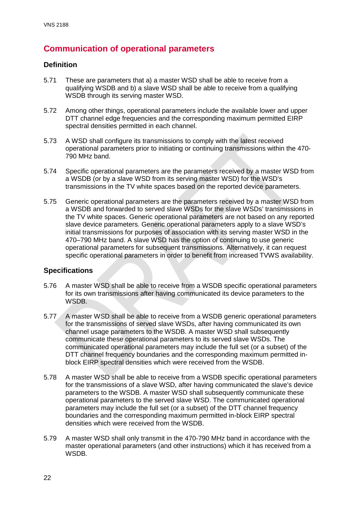# **Communication of operational parameters**

# **Definition**

- <span id="page-22-0"></span>5.71 These are parameters that a) a master WSD shall be able to receive from a qualifying WSDB and b) a slave WSD shall be able to receive from a qualifying WSDB through its serving master WSD.
- 5.72 Among other things, operational parameters include the available lower and upper DTT channel edge frequencies and the corresponding maximum permitted EIRP spectral densities permitted in each channel.
- 5.73 A WSD shall configure its transmissions to comply with the latest received operational parameters prior to initiating or continuing transmissions within the 470- 790 MHz band.
- 5.74 Specific operational parameters are the parameters received by a master WSD from a WSDB (or by a slave WSD from its serving master WSD) for the WSD's transmissions in the TV white spaces based on the reported device parameters.
- 5.75 Generic operational parameters are the parameters received by a master WSD from a WSDB and forwarded to served slave WSDs for the slave WSDs' transmissions in the TV white spaces. Generic operational parameters are not based on any reported slave device parameters. Generic operational parameters apply to a slave WSD's initial transmissions for purposes of association with its serving master WSD in the 470–790 MHz band. A slave WSD has the option of continuing to use generic operational parameters for subsequent transmissions. Alternatively, it can request specific operational parameters in order to benefit from increased TVWS availability.

# **Specifications**

- 5.76 A master WSD shall be able to receive from a WSDB specific operational parameters for its own transmissions after having communicated its device parameters to the WSDB.
- 5.77 A master WSD shall be able to receive from a WSDB generic operational parameters for the transmissions of served slave WSDs, after having communicated its own channel usage parameters to the WSDB. A master WSD shall subsequently communicate these operational parameters to its served slave WSDs. The communicated operational parameters may include the full set (or a subset) of the DTT channel frequency boundaries and the corresponding maximum permitted inblock EIRP spectral densities which were received from the WSDB.
- 5.78 A master WSD shall be able to receive from a WSDB specific operational parameters for the transmissions of a slave WSD, after having communicated the slave's device parameters to the WSDB. A master WSD shall subsequently communicate these operational parameters to the served slave WSD. The communicated operational parameters may include the full set (or a subset) of the DTT channel frequency boundaries and the corresponding maximum permitted in-block EIRP spectral densities which were received from the WSDB.
- 5.79 A master WSD shall only transmit in the 470-790 MHz band in accordance with the master operational parameters (and other instructions) which it has received from a WSDB.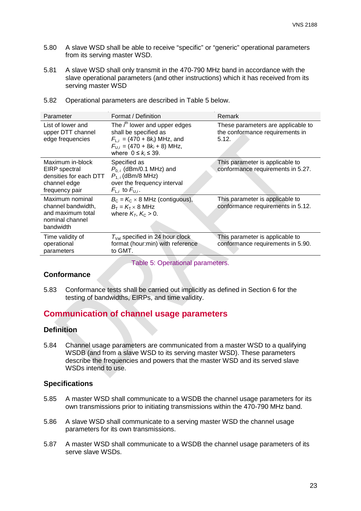- 5.80 A slave WSD shall be able to receive "specific" or "generic" operational parameters from its serving master WSD.
- 5.81 A slave WSD shall only transmit in the 470-790 MHz band in accordance with the slave operational parameters (and other instructions) which it has received from its serving master WSD

| Parameter                                                                                     | Format / Definition                                                                                                                                                   | Remark                                                                         |
|-----------------------------------------------------------------------------------------------|-----------------------------------------------------------------------------------------------------------------------------------------------------------------------|--------------------------------------------------------------------------------|
| List of lower and<br>upper DTT channel<br>edge frequencies                                    | The $i^{th}$ lower and upper edges<br>shall be specified as<br>$F_{L,i} = (470 + 8k_i)$ MHz, and<br>$F_{U,i} = (470 + 8k_i + 8)$ MHz,<br>where $0 \leq k_i \leq 39$ . | These parameters are applicable to<br>the conformance requirements in<br>5.12. |
| Maximum in-block<br>EIRP spectral<br>densities for each DTT<br>channel edge<br>frequency pair | Specified as<br>$P_{0,i}$ (dBm/0.1 MHz) and<br>$P_{1.7}$ (dBm/8 MHz)<br>over the frequency interval<br>$F_{L,i}$ to $F_{U,i}$ .                                       | This parameter is applicable to<br>conformance requirements in 5.27.           |
| Maximum nominal<br>channel bandwidth,<br>and maximum total<br>nominal channel<br>bandwidth    | $B_{\rm C}$ = $K_{\rm C}$ × 8 MHz (contiguous),<br>$B_T = K_T \times 8$ MHz<br>where $K_T$ , $K_C > 0$ .                                                              | This parameter is applicable to<br>conformance requirements in 5.12.           |
| Time validity of<br>operational<br>parameters                                                 | $T_{\text{Val}}$ specified in 24 hour clock<br>format (hour:min) with reference<br>to GMT.                                                                            | This parameter is applicable to<br>conformance requirements in 5.90.           |

5.82 Operational parameters are described in Table 5 below.

Table 5: Operational parameters.

#### **Conformance**

5.83 Conformance tests shall be carried out implicitly as defined in Section 6 for the testing of bandwidths, EIRPs, and time validity.

# **Communication of channel usage parameters**

# **Definition**

5.84 Channel usage parameters are communicated from a master WSD to a qualifying WSDB (and from a slave WSD to its serving master WSD). These parameters describe the frequencies and powers that the master WSD and its served slave WSDs intend to use.

#### **Specifications**

- 5.85 A master WSD shall communicate to a WSDB the channel usage parameters for its own transmissions prior to initiating transmissions within the 470-790 MHz band.
- 5.86 A slave WSD shall communicate to a serving master WSD the channel usage parameters for its own transmissions.
- 5.87 A master WSD shall communicate to a WSDB the channel usage parameters of its serve slave WSDs.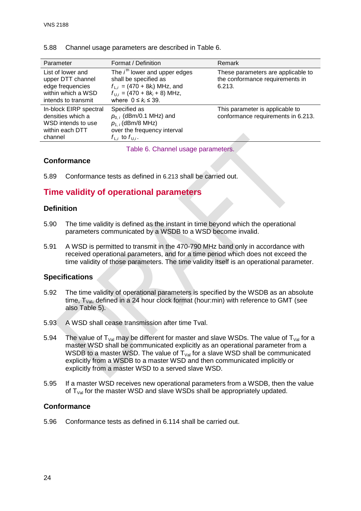| Parameter                                                                                               | Format / Definition                                                                                                                                                   | Remark                                                                          |
|---------------------------------------------------------------------------------------------------------|-----------------------------------------------------------------------------------------------------------------------------------------------------------------------|---------------------------------------------------------------------------------|
| List of lower and<br>upper DTT channel<br>edge frequencies<br>within which a WSD<br>intends to transmit | The $ith$ lower and upper edges<br>shall be specified as<br>$f_{L,i} = (470 + 8k_i)$ MHz, and<br>$f_{U,i}$ = (470 + 8 $k_i$ + 8) MHz,<br>where $0 \leq k_i \leq 39$ . | These parameters are applicable to<br>the conformance requirements in<br>6.213. |
| In-block EIRP spectral<br>densities which a<br>WSD intends to use<br>within each DTT<br>channel         | Specified as<br>$p_{0,i}$ (dBm/0.1 MHz) and<br>$p_{1,i}$ (dBm/8 MHz)<br>over the frequency interval<br>$f_{\perp i}$ to $f_{\perp i}$ .                               | This parameter is applicable to<br>conformance requirements in 6.213.           |

#### 5.88 Channel usage parameters are described in Table 6.

Table 6. Channel usage parameters.

# **Conformance**

5.89 Conformance tests as defined in [6.213](#page-66-0) shall be carried out.

# **Time validity of operational parameters**

# **Definition**

- <span id="page-24-0"></span>5.90 The time validity is defined as the instant in time beyond which the operational parameters communicated by a WSDB to a WSD become invalid.
- 5.91 A WSD is permitted to transmit in the 470-790 MHz band only in accordance with received operational parameters, and for a time period which does not exceed the time validity of those parameters. The time validity itself is an operational parameter.

## **Specifications**

- 5.92 The time validity of operational parameters is specified by the WSDB as an absolute time,  $T_{Val}$ , defined in a 24 hour clock format (hour:min) with reference to GMT (see also Table 5).
- 5.93 A WSD shall cease transmission after time Tval.
- 5.94 The value of  $T_{\text{Val}}$  may be different for master and slave WSDs. The value of  $T_{\text{Val}}$  for a master WSD shall be communicated explicitly as an operational parameter from a WSDB to a master WSD. The value of  $T_{Val}$  for a slave WSD shall be communicated explicitly from a WSDB to a master WSD and then communicated implicitly or explicitly from a master WSD to a served slave WSD.
- 5.95 If a master WSD receives new operational parameters from a WSDB, then the value of  $T_{\text{Val}}$  for the master WSD and slave WSDs shall be appropriately updated.

## **Conformance**

5.96 Conformance tests as defined in [6.114](#page-45-0) shall be carried out.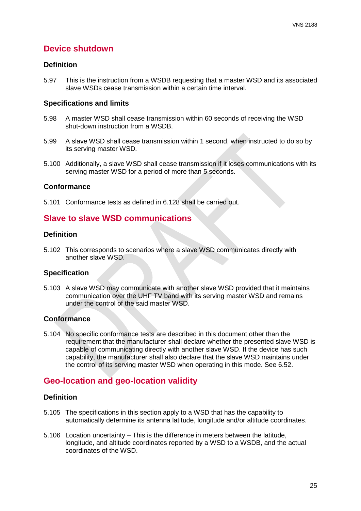# **Device shutdown**

#### **Definition**

5.97 This is the instruction from a WSDB requesting that a master WSD and its associated slave WSDs cease transmission within a certain time interval.

#### **Specifications and limits**

- 5.98 A master WSD shall cease transmission within 60 seconds of receiving the WSD shut-down instruction from a WSDB.
- 5.99 A slave WSD shall cease transmission within 1 second, when instructed to do so by its serving master WSD.
- 5.100 Additionally, a slave WSD shall cease transmission if it loses communications with its serving master WSD for a period of more than 5 seconds.

#### **Conformance**

5.101 Conformance tests as defined in [6.128](#page-47-0) shall be carried out.

# **Slave to slave WSD communications**

#### **Definition**

5.102 This corresponds to scenarios where a slave WSD communicates directly with another slave WSD.

## **Specification**

5.103 A slave WSD may communicate with another slave WSD provided that it maintains communication over the UHF TV band with its serving master WSD and remains under the control of the said master WSD.

## **Conformance**

5.104 No specific conformance tests are described in this document other than the requirement that the manufacturer shall declare whether the presented slave WSD is capable of communicating directly with another slave WSD. If the device has such capability, the manufacturer shall also declare that the slave WSD maintains under the control of its serving master WSD when operating in this mode. See [6.52.](#page-33-0)

# **Geo-location and geo-location validity**

## **Definition**

- 5.105 The specifications in this section apply to a WSD that has the capability to automatically determine its antenna latitude, longitude and/or altitude coordinates.
- 5.106 Location uncertainty This is the difference in meters between the latitude, longitude, and altitude coordinates reported by a WSD to a WSDB, and the actual coordinates of the WSD.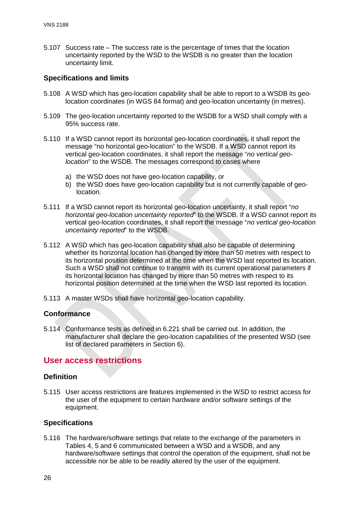5.107 Success rate – The success rate is the percentage of times that the location uncertainty reported by the WSD to the WSDB is no greater than the location uncertainty limit.

# **Specifications and limits**

- 5.108 A WSD which has geo-location capability shall be able to report to a WSDB its geolocation coordinates (in WGS 84 format) and geo-location uncertainty (in metres).
- 5.109 The geo-location uncertainty reported to the WSDB for a WSD shall comply with a 95% success rate.
- 5.110 If a WSD cannot report its horizontal geo-location coordinates, it shall report the message "no horizontal geo-location" to the WSDB. If a WSD cannot report its vertical geo-location coordinates, it shall report the message "*no vertical geolocation*" to the WSDB. The messages correspond to cases where
	- a) the WSD does not have geo-location capability, or
	- b) the WSD does have geo-location capability but is not currently capable of geolocation.
- 5.111 If a WSD cannot report its horizontal geo-location uncertainty, it shall report "*no horizontal geo-location uncertainty reported*" to the WSDB. If a WSD cannot report its vertical geo-location coordinates, it shall report the message "*no vertical geo-location uncertainty reported*" to the WSDB.
- 5.112 A WSD which has geo-location capability shall also be capable of determining whether its horizontal location has changed by more than 50 metres with respect to its horizontal position determined at the time when the WSD last reported its location. Such a WSD shall not continue to transmit with its current operational parameters if its horizontal location has changed by more than 50 metres with respect to its horizontal position determined at the time when the WSD last reported its location.
- 5.113 A master WSDs shall have horizontal geo-location capability.

## **Conformance**

5.114 Conformance tests as defined in [6.221](#page-68-0) shall be carried out. In addition, the manufacturer shall declare the geo-location capabilities of the presented WSD (see list of declared parameters in Section 6).

# **User access restrictions**

## **Definition**

<span id="page-26-0"></span>5.115 User access restrictions are features implemented in the WSD to restrict access for the user of the equipment to certain hardware and/or software settings of the equipment.

## **Specifications**

5.116 The hardware/software settings that relate to the exchange of the parameters in Tables 4, 5 and 6 communicated between a WSD and a WSDB, and any hardware/software settings that control the operation of the equipment, shall not be accessible nor be able to be readily altered by the user of the equipment.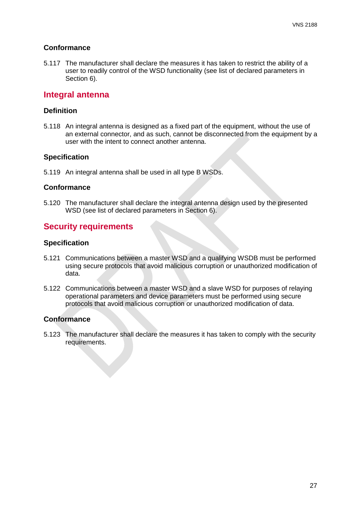## **Conformance**

5.117 The manufacturer shall declare the measures it has taken to restrict the ability of a user to readily control of the WSD functionality (see list of declared parameters in Section 6).

# **Integral antenna**

### **Definition**

5.118 An integral antenna is designed as a fixed part of the equipment, without the use of an external connector, and as such, cannot be disconnected from the equipment by a user with the intent to connect another antenna.

#### **Specification**

5.119 An integral antenna shall be used in all type B WSDs.

#### **Conformance**

5.120 The manufacturer shall declare the integral antenna design used by the presented WSD (see list of declared parameters in Section 6).

# **Security requirements**

### **Specification**

- 5.121 Communications between a master WSD and a qualifying WSDB must be performed using secure protocols that avoid malicious corruption or unauthorized modification of data.
- 5.122 Communications between a master WSD and a slave WSD for purposes of relaying operational parameters and device parameters must be performed using secure protocols that avoid malicious corruption or unauthorized modification of data.

## **Conformance**

5.123 The manufacturer shall declare the measures it has taken to comply with the security requirements.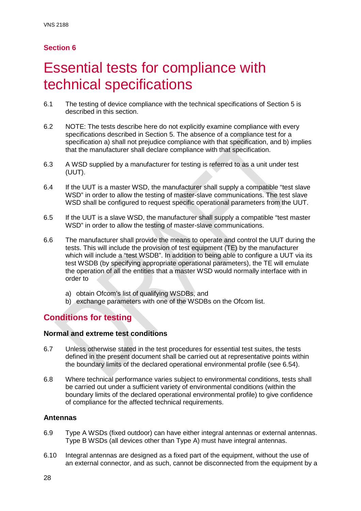# <span id="page-28-0"></span>Essential tests for compliance with technical specifications

- 6.1 The testing of device compliance with the technical specifications of Section 5 is described in this section.
- 6.2 NOTE: The tests describe here do not explicitly examine compliance with every specifications described in Section 5. The absence of a compliance test for a specification a) shall not prejudice compliance with that specification, and b) implies that the manufacturer shall declare compliance with that specification.
- 6.3 A WSD supplied by a manufacturer for testing is referred to as a unit under test (UUT).
- 6.4 If the UUT is a master WSD, the manufacturer shall supply a compatible "test slave WSD" in order to allow the testing of master-slave communications. The test slave WSD shall be configured to request specific operational parameters from the UUT.
- 6.5 If the UUT is a slave WSD, the manufacturer shall supply a compatible "test master WSD" in order to allow the testing of master-slave communications.
- 6.6 The manufacturer shall provide the means to operate and control the UUT during the tests. This will include the provision of test equipment (TE) by the manufacturer which will include a "test WSDB". In addition to being able to configure a UUT via its test WSDB (by specifying appropriate operational parameters), the TE will emulate the operation of all the entities that a master WSD would normally interface with in order to
	- a) obtain Ofcom's list of qualifying WSDBs, and
	- b) exchange parameters with one of the WSDBs on the Ofcom list.

# **Conditions for testing**

# **Normal and extreme test conditions**

- 6.7 Unless otherwise stated in the test procedures for essential test suites, the tests defined in the present document shall be carried out at representative points within the boundary limits of the declared operational environmental profile (see [6.54\)](#page-33-1).
- 6.8 Where technical performance varies subject to environmental conditions, tests shall be carried out under a sufficient variety of environmental conditions (within the boundary limits of the declared operational environmental profile) to give confidence of compliance for the affected technical requirements.

# **Antennas**

- 6.9 Type A WSDs (fixed outdoor) can have either integral antennas or external antennas. Type B WSDs (all devices other than Type A) must have integral antennas.
- 6.10 Integral antennas are designed as a fixed part of the equipment, without the use of an external connector, and as such, cannot be disconnected from the equipment by a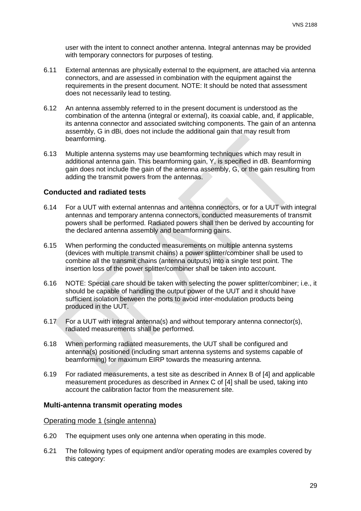user with the intent to connect another antenna. Integral antennas may be provided with temporary connectors for purposes of testing.

- 6.11 External antennas are physically external to the equipment, are attached via antenna connectors, and are assessed in combination with the equipment against the requirements in the present document. NOTE: It should be noted that assessment does not necessarily lead to testing.
- 6.12 An antenna assembly referred to in the present document is understood as the combination of the antenna (integral or external), its coaxial cable, and, if applicable, its antenna connector and associated switching components. The gain of an antenna assembly, G in dBi, does not include the additional gain that may result from beamforming.
- 6.13 Multiple antenna systems may use beamforming techniques which may result in additional antenna gain. This beamforming gain, Y, is specified in dB. Beamforming gain does not include the gain of the antenna assembly, G, or the gain resulting from adding the transmit powers from the antennas.

### **Conducted and radiated tests**

- 6.14 For a UUT with external antennas and antenna connectors, or for a UUT with integral antennas and temporary antenna connectors, conducted measurements of transmit powers shall be performed. Radiated powers shall then be derived by accounting for the declared antenna assembly and beamforming gains.
- 6.15 When performing the conducted measurements on multiple antenna systems (devices with multiple transmit chains) a power splitter/combiner shall be used to combine all the transmit chains (antenna outputs) into a single test point. The insertion loss of the power splitter/combiner shall be taken into account.
- 6.16 NOTE: Special care should be taken with selecting the power splitter/combiner; i.e., it should be capable of handling the output power of the UUT and it should have sufficient isolation between the ports to avoid inter-modulation products being produced in the UUT.
- 6.17 For a UUT with integral antenna(s) and without temporary antenna connector(s), radiated measurements shall be performed.
- 6.18 When performing radiated measurements, the UUT shall be configured and antenna(s) positioned (including smart antenna systems and systems capable of beamforming) for maximum EIRP towards the measuring antenna.
- 6.19 For radiated measurements, a test site as described in Annex B of [4] and applicable measurement procedures as described in Annex C of [4] shall be used, taking into account the calibration factor from the measurement site.

#### **Multi-antenna transmit operating modes**

#### Operating mode 1 (single antenna)

- <span id="page-29-0"></span>6.20 The equipment uses only one antenna when operating in this mode.
- 6.21 The following types of equipment and/or operating modes are examples covered by this category: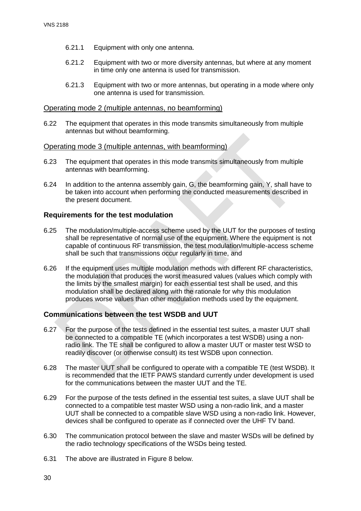- 6.21.1 Equipment with only one antenna.
- 6.21.2 Equipment with two or more diversity antennas, but where at any moment in time only one antenna is used for transmission.
- 6.21.3 Equipment with two or more antennas, but operating in a mode where only one antenna is used for transmission.

#### Operating mode 2 (multiple antennas, no beamforming)

6.22 The equipment that operates in this mode transmits simultaneously from multiple antennas but without beamforming.

#### Operating mode 3 (multiple antennas, with beamforming)

- 6.23 The equipment that operates in this mode transmits simultaneously from multiple antennas with beamforming.
- 6.24 In addition to the antenna assembly gain, G, the beamforming gain, Y, shall have to be taken into account when performing the conducted measurements described in the present document.

## **Requirements for the test modulation**

- 6.25 The modulation/multiple-access scheme used by the UUT for the purposes of testing shall be representative of normal use of the equipment. Where the equipment is not capable of continuous RF transmission, the test modulation/multiple-access scheme shall be such that transmissions occur regularly in time, and
- 6.26 If the equipment uses multiple modulation methods with different RF characteristics, the modulation that produces the worst measured values (values which comply with the limits by the smallest margin) for each essential test shall be used, and this modulation shall be declared along with the rationale for why this modulation produces worse values than other modulation methods used by the equipment.

## **Communications between the test WSDB and UUT**

- 6.27 For the purpose of the tests defined in the essential test suites, a master UUT shall be connected to a compatible TE (which incorporates a test WSDB) using a nonradio link. The TE shall be configured to allow a master UUT or master test WSD to readily discover (or otherwise consult) its test WSDB upon connection.
- 6.28 The master UUT shall be configured to operate with a compatible TE (test WSDB). It is recommended that the IETF PAWS standard currently under development is used for the communications between the master UUT and the TE.
- 6.29 For the purpose of the tests defined in the essential test suites, a slave UUT shall be connected to a compatible test master WSD using a non-radio link, and a master UUT shall be connected to a compatible slave WSD using a non-radio link. However, devices shall be configured to operate as if connected over the UHF TV band.
- 6.30 The communication protocol between the slave and master WSDs will be defined by the radio technology specifications of the WSDs being tested.
- 6.31 The above are illustrated in Figure 8 below.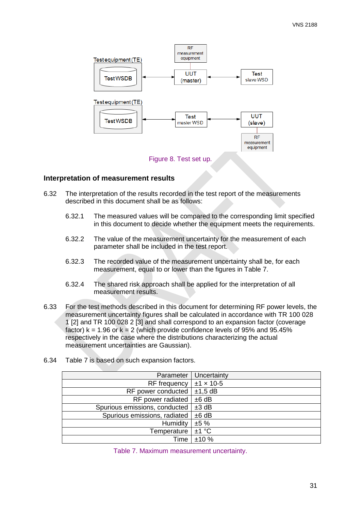

# **Interpretation of measurement results**

- 6.32 The interpretation of the results recorded in the test report of the measurements described in this document shall be as follows:
	- 6.32.1 The measured values will be compared to the corresponding limit specified in this document to decide whether the equipment meets the requirements.
	- 6.32.2 The value of the measurement uncertainty for the measurement of each parameter shall be included in the test report.
	- 6.32.3 The recorded value of the measurement uncertainty shall be, for each measurement, equal to or lower than the figures in Table 7.
	- 6.32.4 The shared risk approach shall be applied for the interpretation of all measurement results.
- 6.33 For the test methods described in this document for determining RF power levels, the measurement uncertainty figures shall be calculated in accordance with TR 100 028 1 [2] and TR 100 028 2 [3] and shall correspond to an expansion factor (coverage factor)  $k = 1.96$  or  $k = 2$  (which provide confidence levels of 95% and 95.45% respectively in the case where the distributions characterizing the actual measurement uncertainties are Gaussian).
- 6.34 Table 7 is based on such expansion factors.

| Parameter                     | Uncertainty      |
|-------------------------------|------------------|
| RF frequency                  | $±1 \times 10-5$ |
| RF power conducted            | $±1,5$ dB        |
| RF power radiated             | ±6 dB            |
| Spurious emissions, conducted | ±3 dB            |
| Spurious emissions, radiated  | ±6 dB            |
| Humidity                      | ±5%              |
| Temperature                   | ±1 °C            |
| Time                          | ±10%             |

|  |  | Table 7. Maximum measurement uncertainty. |  |  |
|--|--|-------------------------------------------|--|--|
|--|--|-------------------------------------------|--|--|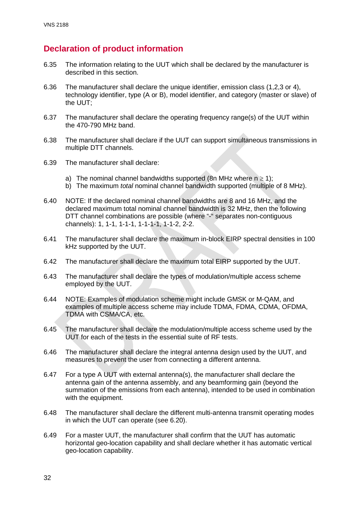# **Declaration of product information**

- 6.35 The information relating to the UUT which shall be declared by the manufacturer is described in this section.
- 6.36 The manufacturer shall declare the unique identifier, emission class (1,2,3 or 4), technology identifier, type (A or B), model identifier, and category (master or slave) of the UUT;
- 6.37 The manufacturer shall declare the operating frequency range(s) of the UUT within the 470-790 MHz band.
- 6.38 The manufacturer shall declare if the UUT can support simultaneous transmissions in multiple DTT channels.
- 6.39 The manufacturer shall declare:
	- a) The nominal channel bandwidths supported (8n MHz where  $n \ge 1$ );
	- b) The maximum *total* nominal channel bandwidth supported (multiple of 8 MHz).
- 6.40 NOTE: If the declared nominal channel bandwidths are 8 and 16 MHz, and the declared maximum total nominal channel bandwidth is 32 MHz, then the following DTT channel combinations are possible (where "-" separates non-contiguous channels): 1, 1-1, 1-1-1, 1-1-1-1, 1-1-2, 2-2.
- 6.41 The manufacturer shall declare the maximum in-block EIRP spectral densities in 100 kHz supported by the UUT.
- 6.42 The manufacturer shall declare the maximum total EIRP supported by the UUT.
- 6.43 The manufacturer shall declare the types of modulation/multiple access scheme employed by the UUT.
- 6.44 NOTE: Examples of modulation scheme might include GMSK or M-QAM, and examples of multiple access scheme may include TDMA, FDMA, CDMA, OFDMA, TDMA with CSMA/CA, etc.
- 6.45 The manufacturer shall declare the modulation/multiple access scheme used by the UUT for each of the tests in the essential suite of RF tests.
- 6.46 The manufacturer shall declare the integral antenna design used by the UUT, and measures to prevent the user from connecting a different antenna.
- 6.47 For a type A UUT with external antenna(s), the manufacturer shall declare the antenna gain of the antenna assembly, and any beamforming gain (beyond the summation of the emissions from each antenna), intended to be used in combination with the equipment.
- 6.48 The manufacturer shall declare the different multi-antenna transmit operating modes in which the UUT can operate (see [6.20\)](#page-29-0).
- 6.49 For a master UUT, the manufacturer shall confirm that the UUT has automatic horizontal geo-location capability and shall declare whether it has automatic vertical geo-location capability.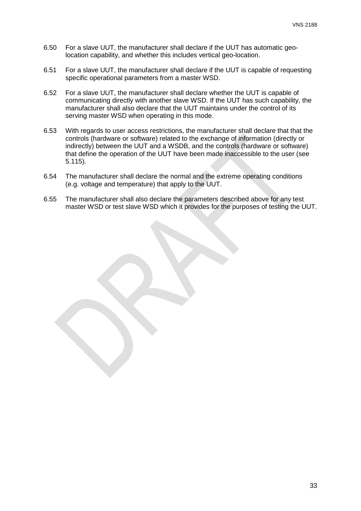- 6.50 For a slave UUT, the manufacturer shall declare if the UUT has automatic geolocation capability, and whether this includes vertical geo-location.
- 6.51 For a slave UUT, the manufacturer shall declare if the UUT is capable of requesting specific operational parameters from a master WSD.
- <span id="page-33-0"></span>6.52 For a slave UUT, the manufacturer shall declare whether the UUT is capable of communicating directly with another slave WSD. If the UUT has such capability, the manufacturer shall also declare that the UUT maintains under the control of its serving master WSD when operating in this mode.
- 6.53 With regards to user access restrictions, the manufacturer shall declare that that the controls (hardware or software) related to the exchange of information (directly or indirectly) between the UUT and a WSDB, and the controls (hardware or software) that define the operation of the UUT have been made inaccessible to the user (see [5.115\)](#page-26-0).
- <span id="page-33-1"></span>6.54 The manufacturer shall declare the normal and the extreme operating conditions (e.g. voltage and temperature) that apply to the UUT.
- 6.55 The manufacturer shall also declare the parameters described above for any test master WSD or test slave WSD which it provides for the purposes of testing the UUT.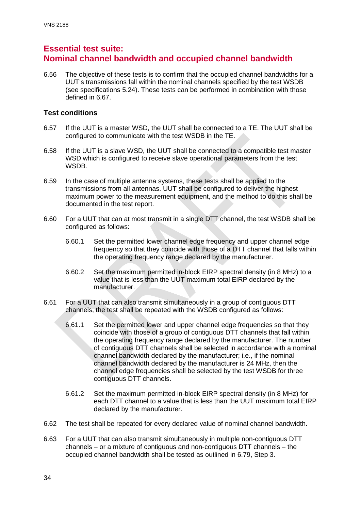# **Essential test suite: Nominal channel bandwidth and occupied channel bandwidth**

<span id="page-34-0"></span>6.56 The objective of these tests is to confirm that the occupied channel bandwidths for a UUT's transmissions fall within the nominal channels specified by the test WSDB (see specifications [5.24\)](#page-12-0). These tests can be performed in combination with those defined in [6.67.](#page-36-0)

# **Test conditions**

- 6.57 If the UUT is a master WSD, the UUT shall be connected to a TE. The UUT shall be configured to communicate with the test WSDB in the TE.
- 6.58 If the UUT is a slave WSD, the UUT shall be connected to a compatible test master WSD which is configured to receive slave operational parameters from the test WSDB.
- 6.59 In the case of multiple antenna systems, these tests shall be applied to the transmissions from all antennas. UUT shall be configured to deliver the highest maximum power to the measurement equipment, and the method to do this shall be documented in the test report.
- 6.60 For a UUT that can at most transmit in a single DTT channel, the test WSDB shall be configured as follows:
	- 6.60.1 Set the permitted lower channel edge frequency and upper channel edge frequency so that they coincide with those of a DTT channel that falls within the operating frequency range declared by the manufacturer.
	- 6.60.2 Set the maximum permitted in-block EIRP spectral density (in 8 MHz) to a value that is less than the UUT maximum total EIRP declared by the manufacturer.
- 6.61 For a UUT that can also transmit simultaneously in a group of contiguous DTT channels, the test shall be repeated with the WSDB configured as follows:
	- 6.61.1 Set the permitted lower and upper channel edge frequencies so that they coincide with those of a group of contiguous DTT channels that fall within the operating frequency range declared by the manufacturer. The number of contiguous DTT channels shall be selected in accordance with a nominal channel bandwidth declared by the manufacturer; i.e., if the nominal channel bandwidth declared by the manufacturer is 24 MHz, then the channel edge frequencies shall be selected by the test WSDB for three contiguous DTT channels.
	- 6.61.2 Set the maximum permitted in-block EIRP spectral density (in 8 MHz) for each DTT channel to a value that is less than the UUT maximum total EIRP declared by the manufacturer.
- 6.62 The test shall be repeated for every declared value of nominal channel bandwidth.
- 6.63 For a UUT that can also transmit simultaneously in multiple non-contiguous DTT channels − or a mixture of contiguous and non-contiguous DTT channels − the occupied channel bandwidth shall be tested as outlined in [6.79,](#page-37-0) Step 3.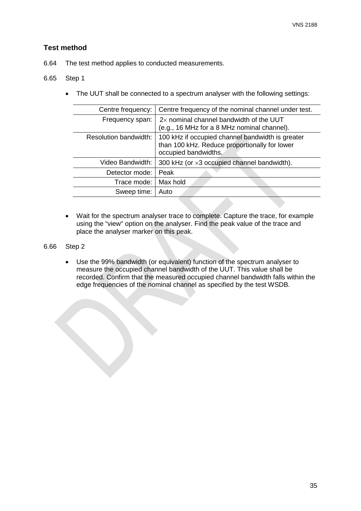# **Test method**

6.64 The test method applies to conducted measurements.

# 6.65 Step 1

• The UUT shall be connected to a spectrum analyser with the following settings:

| Centre frequency:            | Centre frequency of the nominal channel under test.                                                                       |
|------------------------------|---------------------------------------------------------------------------------------------------------------------------|
| Frequency span:              | 2x nominal channel bandwidth of the UUT<br>(e.g., 16 MHz for a 8 MHz nominal channel).                                    |
| <b>Resolution bandwidth:</b> | 100 kHz if occupied channel bandwidth is greater<br>than 100 kHz. Reduce proportionally for lower<br>occupied bandwidths. |
| Video Bandwidth:             | 300 kHz (or $\times$ 3 occupied channel bandwidth).                                                                       |
| Detector mode:               | Peak                                                                                                                      |
| Trace mode:                  | Max hold                                                                                                                  |
| Sweep time:                  | Auto                                                                                                                      |
|                              |                                                                                                                           |

• Wait for the spectrum analyser trace to complete. Capture the trace, for example using the "view" option on the analyser. Find the peak value of the trace and place the analyser marker on this peak.

## 6.66 Step 2

• Use the 99% bandwidth (or equivalent) function of the spectrum analyser to measure the occupied channel bandwidth of the UUT. This value shall be recorded. Confirm that the measured occupied channel bandwidth falls within the edge frequencies of the nominal channel as specified by the test WSDB.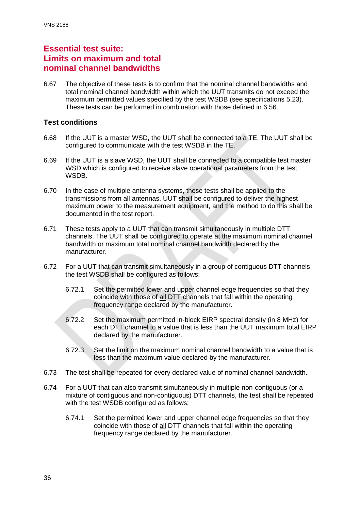# **Essential test suite: Limits on maximum and total nominal channel bandwidths**

6.67 The objective of these tests is to confirm that the nominal channel bandwidths and total nominal channel bandwidth within which the UUT transmits do not exceed the maximum permitted values specified by the test WSDB (see specifications [5.23\)](#page-12-0). These tests can be performed in combination with those defined in [6.56.](#page-34-0)

## **Test conditions**

- 6.68 If the UUT is a master WSD, the UUT shall be connected to a TE. The UUT shall be configured to communicate with the test WSDB in the TE.
- 6.69 If the UUT is a slave WSD, the UUT shall be connected to a compatible test master WSD which is configured to receive slave operational parameters from the test WSDB.
- 6.70 In the case of multiple antenna systems, these tests shall be applied to the transmissions from all antennas. UUT shall be configured to deliver the highest maximum power to the measurement equipment, and the method to do this shall be documented in the test report.
- 6.71 These tests apply to a UUT that can transmit simultaneously in multiple DTT channels. The UUT shall be configured to operate at the maximum nominal channel bandwidth or maximum total nominal channel bandwidth declared by the manufacturer.
- 6.72 For a UUT that can transmit simultaneously in a group of contiguous DTT channels, the test WSDB shall be configured as follows:
	- 6.72.1 Set the permitted lower and upper channel edge frequencies so that they coincide with those of all DTT channels that fall within the operating frequency range declared by the manufacturer.
	- 6.72.2 Set the maximum permitted in-block EIRP spectral density (in 8 MHz) for each DTT channel to a value that is less than the UUT maximum total EIRP declared by the manufacturer.
	- 6.72.3 Set the limit on the maximum nominal channel bandwidth to a value that is less than the maximum value declared by the manufacturer.
- 6.73 The test shall be repeated for every declared value of nominal channel bandwidth.
- 6.74 For a UUT that can also transmit simultaneously in multiple non-contiguous (or a mixture of contiguous and non-contiguous) DTT channels, the test shall be repeated with the test WSDB configured as follows:
	- 6.74.1 Set the permitted lower and upper channel edge frequencies so that they coincide with those of all DTT channels that fall within the operating frequency range declared by the manufacturer.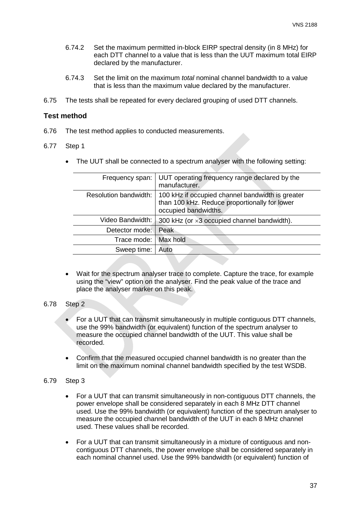- 6.74.2 Set the maximum permitted in-block EIRP spectral density (in 8 MHz) for each DTT channel to a value that is less than the UUT maximum total EIRP declared by the manufacturer.
- 6.74.3 Set the limit on the maximum *total* nominal channel bandwidth to a value that is less than the maximum value declared by the manufacturer.
- 6.75 The tests shall be repeated for every declared grouping of used DTT channels.

#### **Test method**

- 6.76 The test method applies to conducted measurements.
- 6.77 Step 1
	- The UUT shall be connected to a spectrum analyser with the following setting:

| Frequency span:              | UUT operating frequency range declared by the<br>manufacturer.                                                            |
|------------------------------|---------------------------------------------------------------------------------------------------------------------------|
| <b>Resolution bandwidth:</b> | 100 kHz if occupied channel bandwidth is greater<br>than 100 kHz. Reduce proportionally for lower<br>occupied bandwidths. |
| Video Bandwidth:             | 300 kHz (or $\times$ 3 occupied channel bandwidth).                                                                       |
| Detector mode:               | Peak                                                                                                                      |
| Trace mode:                  | Max hold                                                                                                                  |
| Sweep time:                  | Auto                                                                                                                      |
|                              |                                                                                                                           |

• Wait for the spectrum analyser trace to complete. Capture the trace, for example using the "view" option on the analyser. Find the peak value of the trace and place the analyser marker on this peak.

#### 6.78 Step 2

- For a UUT that can transmit simultaneously in multiple contiguous DTT channels, use the 99% bandwidth (or equivalent) function of the spectrum analyser to measure the occupied channel bandwidth of the UUT. This value shall be recorded.
- Confirm that the measured occupied channel bandwidth is no greater than the limit on the maximum nominal channel bandwidth specified by the test WSDB.

#### 6.79 Step 3

- For a UUT that can transmit simultaneously in non-contiguous DTT channels, the power envelope shall be considered separately in each 8 MHz DTT channel used. Use the 99% bandwidth (or equivalent) function of the spectrum analyser to measure the occupied channel bandwidth of the UUT in each 8 MHz channel used. These values shall be recorded.
- For a UUT that can transmit simultaneously in a mixture of contiguous and noncontiguous DTT channels, the power envelope shall be considered separately in each nominal channel used. Use the 99% bandwidth (or equivalent) function of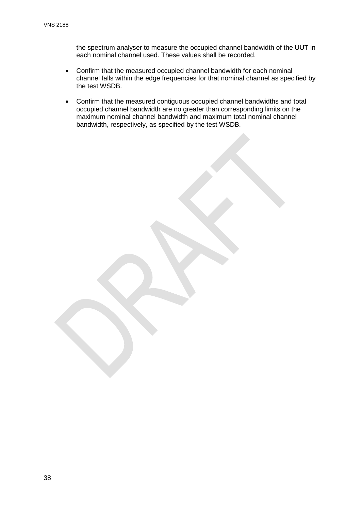the spectrum analyser to measure the occupied channel bandwidth of the UUT in each nominal channel used. These values shall be recorded.

- Confirm that the measured occupied channel bandwidth for each nominal channel falls within the edge frequencies for that nominal channel as specified by the test WSDB.
- Confirm that the measured contiguous occupied channel bandwidths and total occupied channel bandwidth are no greater than corresponding limits on the maximum nominal channel bandwidth and maximum total nominal channel bandwidth, respectively, as specified by the test WSDB.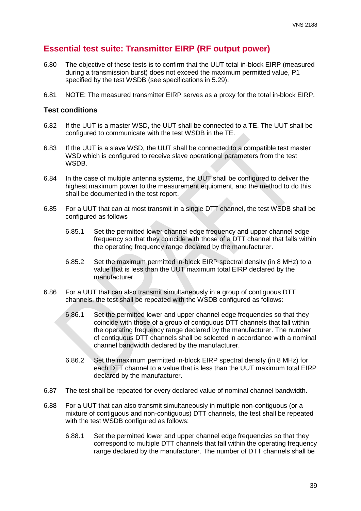# **Essential test suite: Transmitter EIRP (RF output power)**

- <span id="page-39-0"></span>6.80 The objective of these tests is to confirm that the UUT total in-block EIRP (measured during a transmission burst) does not exceed the maximum permitted value, P1 specified by the test WSDB (see specifications in [5.29\)](#page-13-0).
- 6.81 NOTE: The measured transmitter EIRP serves as a proxy for the total in-block EIRP.

## **Test conditions**

- 6.82 If the UUT is a master WSD, the UUT shall be connected to a TE. The UUT shall be configured to communicate with the test WSDB in the TE.
- 6.83 If the UUT is a slave WSD, the UUT shall be connected to a compatible test master WSD which is configured to receive slave operational parameters from the test WSDB.
- 6.84 In the case of multiple antenna systems, the UUT shall be configured to deliver the highest maximum power to the measurement equipment, and the method to do this shall be documented in the test report.
- 6.85 For a UUT that can at most transmit in a single DTT channel, the test WSDB shall be configured as follows
	- 6.85.1 Set the permitted lower channel edge frequency and upper channel edge frequency so that they coincide with those of a DTT channel that falls within the operating frequency range declared by the manufacturer.
	- 6.85.2 Set the maximum permitted in-block EIRP spectral density (in 8 MHz) to a value that is less than the UUT maximum total EIRP declared by the manufacturer.
- 6.86 For a UUT that can also transmit simultaneously in a group of contiguous DTT channels, the test shall be repeated with the WSDB configured as follows:
	- 6.86.1 Set the permitted lower and upper channel edge frequencies so that they coincide with those of a group of contiguous DTT channels that fall within the operating frequency range declared by the manufacturer. The number of contiguous DTT channels shall be selected in accordance with a nominal channel bandwidth declared by the manufacturer.
	- 6.86.2 Set the maximum permitted in-block EIRP spectral density (in 8 MHz) for each DTT channel to a value that is less than the UUT maximum total EIRP declared by the manufacturer.
- 6.87 The test shall be repeated for every declared value of nominal channel bandwidth.
- 6.88 For a UUT that can also transmit simultaneously in multiple non-contiguous (or a mixture of contiguous and non-contiguous) DTT channels, the test shall be repeated with the test WSDB configured as follows:
	- 6.88.1 Set the permitted lower and upper channel edge frequencies so that they correspond to multiple DTT channels that fall within the operating frequency range declared by the manufacturer. The number of DTT channels shall be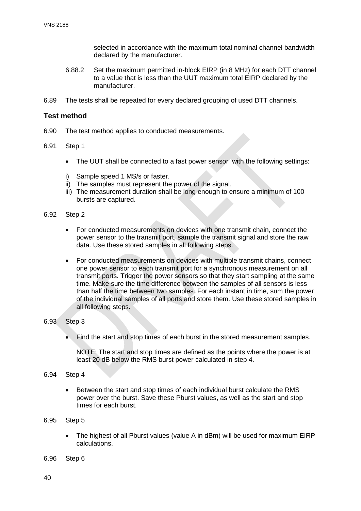selected in accordance with the maximum total nominal channel bandwidth declared by the manufacturer.

- 6.88.2 Set the maximum permitted in-block EIRP (in 8 MHz) for each DTT channel to a value that is less than the UUT maximum total EIRP declared by the manufacturer.
- 6.89 The tests shall be repeated for every declared grouping of used DTT channels.

#### **Test method**

- 6.90 The test method applies to conducted measurements.
- 6.91 Step 1
	- The UUT shall be connected to a fast power sensor with the following settings:
	- i) Sample speed 1 MS/s or faster.
	- ii) The samples must represent the power of the signal.
	- iii) The measurement duration shall be long enough to ensure a minimum of 100 bursts are captured.
- 6.92 Step 2
	- For conducted measurements on devices with one transmit chain, connect the power sensor to the transmit port, sample the transmit signal and store the raw data. Use these stored samples in all following steps.
	- For conducted measurements on devices with multiple transmit chains, connect one power sensor to each transmit port for a synchronous measurement on all transmit ports. Trigger the power sensors so that they start sampling at the same time. Make sure the time difference between the samples of all sensors is less than half the time between two samples. For each instant in time, sum the power of the individual samples of all ports and store them. Use these stored samples in all following steps.

#### 6.93 Step 3

• Find the start and stop times of each burst in the stored measurement samples.

NOTE: The start and stop times are defined as the points where the power is at least 20 dB below the RMS burst power calculated in step 4.

#### 6.94 Step 4

- Between the start and stop times of each individual burst calculate the RMS power over the burst. Save these Pburst values, as well as the start and stop times for each burst.
- 6.95 Step 5
	- The highest of all Pburst values (value A in dBm) will be used for maximum EIRP calculations.
- 6.96 Step 6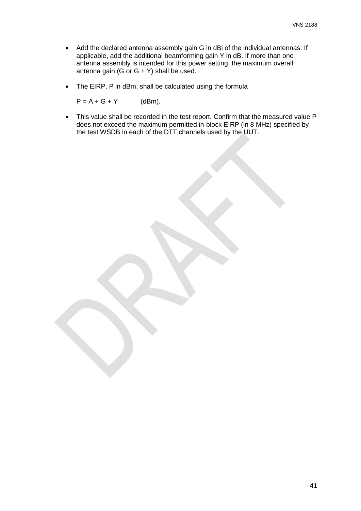- Add the declared antenna assembly gain G in dBi of the individual antennas. If applicable, add the additional beamforming gain Y in dB. If more than one antenna assembly is intended for this power setting, the maximum overall antenna gain (G or  $G + Y$ ) shall be used.
- The EIRP, P in dBm, shall be calculated using the formula

 $P = A + G + Y$  (dBm).

• This value shall be recorded in the test report. Confirm that the measured value P does not exceed the maximum permitted in-block EIRP (in 8 MHz) specified by the test WSDB in each of the DTT channels used by the UUT.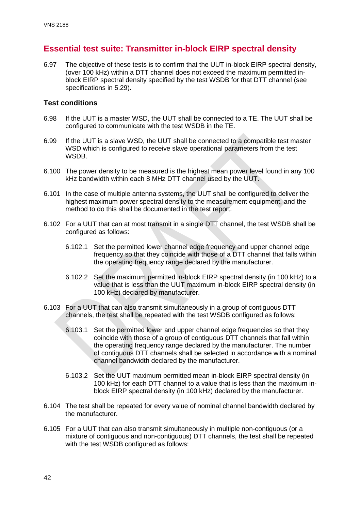# **Essential test suite: Transmitter in-block EIRP spectral density**

<span id="page-42-0"></span>6.97 The objective of these tests is to confirm that the UUT in-block EIRP spectral density, (over 100 kHz) within a DTT channel does not exceed the maximum permitted inblock EIRP spectral density specified by the test WSDB for that DTT channel (see specifications in [5.29\)](#page-13-0).

## **Test conditions**

- 6.98 If the UUT is a master WSD, the UUT shall be connected to a TE. The UUT shall be configured to communicate with the test WSDB in the TE.
- 6.99 If the UUT is a slave WSD, the UUT shall be connected to a compatible test master WSD which is configured to receive slave operational parameters from the test WSDB.
- 6.100 The power density to be measured is the highest mean power level found in any 100 kHz bandwidth within each 8 MHz DTT channel used by the UUT.
- 6.101 In the case of multiple antenna systems, the UUT shall be configured to deliver the highest maximum power spectral density to the measurement equipment, and the method to do this shall be documented in the test report.
- 6.102 For a UUT that can at most transmit in a single DTT channel, the test WSDB shall be configured as follows:
	- 6.102.1 Set the permitted lower channel edge frequency and upper channel edge frequency so that they coincide with those of a DTT channel that falls within the operating frequency range declared by the manufacturer.
	- 6.102.2 Set the maximum permitted in-block EIRP spectral density (in 100 kHz) to a value that is less than the UUT maximum in-block EIRP spectral density (in 100 kHz) declared by manufacturer.
- 6.103 For a UUT that can also transmit simultaneously in a group of contiguous DTT channels, the test shall be repeated with the test WSDB configured as follows:
	- 6.103.1 Set the permitted lower and upper channel edge frequencies so that they coincide with those of a group of contiguous DTT channels that fall within the operating frequency range declared by the manufacturer. The number of contiguous DTT channels shall be selected in accordance with a nominal channel bandwidth declared by the manufacturer.
	- 6.103.2 Set the UUT maximum permitted mean in-block EIRP spectral density (in 100 kHz) for each DTT channel to a value that is less than the maximum inblock EIRP spectral density (in 100 kHz) declared by the manufacturer.
- 6.104 The test shall be repeated for every value of nominal channel bandwidth declared by the manufacturer.
- 6.105 For a UUT that can also transmit simultaneously in multiple non-contiguous (or a mixture of contiguous and non-contiguous) DTT channels, the test shall be repeated with the test WSDB configured as follows: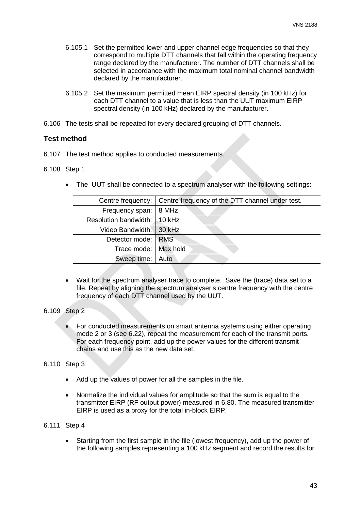- 6.105.1 Set the permitted lower and upper channel edge frequencies so that they correspond to multiple DTT channels that fall within the operating frequency range declared by the manufacturer. The number of DTT channels shall be selected in accordance with the maximum total nominal channel bandwidth declared by the manufacturer.
- 6.105.2 Set the maximum permitted mean EIRP spectral density (in 100 kHz) for each DTT channel to a value that is less than the UUT maximum EIRP spectral density (in 100 kHz) declared by the manufacturer.
- 6.106 The tests shall be repeated for every declared grouping of DTT channels.

#### **Test method**

6.107 The test method applies to conducted measurements.

#### 6.108 Step 1

• The UUT shall be connected to a spectrum analyser with the following settings:

| Centre frequency:         | Centre frequency of the DTT channel under test. |
|---------------------------|-------------------------------------------------|
| Frequency span:           | 8 MHz                                           |
| Resolution bandwidth:     | $10$ kHz                                        |
| Video Bandwidth:   30 kHz |                                                 |
| Detector mode: RMS        |                                                 |
| Trace mode:   Max hold    |                                                 |
| Sweep time:               | Auto                                            |
|                           |                                                 |

• Wait for the spectrum analyser trace to complete. Save the (trace) data set to a file. Repeat by aligning the spectrum analyser's centre frequency with the centre frequency of each DTT channel used by the UUT.

#### 6.109 Step 2

• For conducted measurements on smart antenna systems using either operating mode 2 or 3 (see [6.22\)](#page-30-0), repeat the measurement for each of the transmit ports. For each frequency point, add up the power values for the different transmit chains and use this as the new data set.

#### 6.110 Step 3

- Add up the values of power for all the samples in the file.
- Normalize the individual values for amplitude so that the sum is equal to the transmitter EIRP (RF output power) measured in [6.80.](#page-39-0) The measured transmitter EIRP is used as a proxy for the total in-block EIRP.

6.111 Step 4

• Starting from the first sample in the file (lowest frequency), add up the power of the following samples representing a 100 kHz segment and record the results for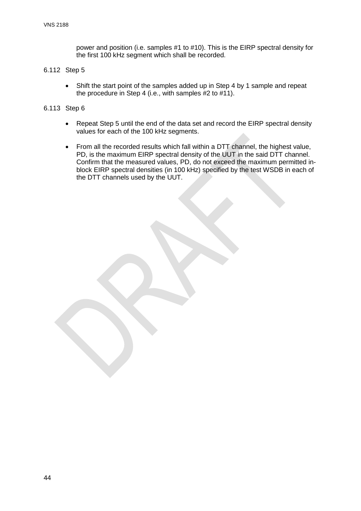power and position (i.e. samples #1 to #10). This is the EIRP spectral density for the first 100 kHz segment which shall be recorded.

#### 6.112 Step 5

• Shift the start point of the samples added up in Step 4 by 1 sample and repeat the procedure in Step 4 (i.e., with samples #2 to #11).

#### 6.113 Step 6

- Repeat Step 5 until the end of the data set and record the EIRP spectral density values for each of the 100 kHz segments.
- From all the recorded results which fall within a DTT channel, the highest value, PD, is the maximum EIRP spectral density of the UUT in the said DTT channel. Confirm that the measured values, PD, do not exceed the maximum permitted inblock EIRP spectral densities (in 100 kHz) specified by the test WSDB in each of the DTT channels used by the UUT.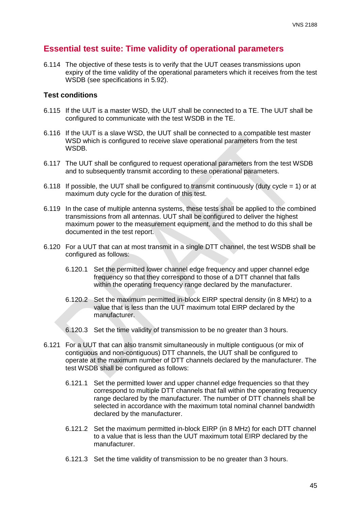# **Essential test suite: Time validity of operational parameters**

<span id="page-45-0"></span>6.114 The objective of these tests is to verify that the UUT ceases transmissions upon expiry of the time validity of the operational parameters which it receives from the test WSDB (see specifications in [5.92\)](#page-24-0).

#### **Test conditions**

- 6.115 If the UUT is a master WSD, the UUT shall be connected to a TE. The UUT shall be configured to communicate with the test WSDB in the TE.
- 6.116 If the UUT is a slave WSD, the UUT shall be connected to a compatible test master WSD which is configured to receive slave operational parameters from the test WSDB.
- 6.117 The UUT shall be configured to request operational parameters from the test WSDB and to subsequently transmit according to these operational parameters.
- 6.118 If possible, the UUT shall be configured to transmit continuously (duty cycle = 1) or at maximum duty cycle for the duration of this test.
- 6.119 In the case of multiple antenna systems, these tests shall be applied to the combined transmissions from all antennas. UUT shall be configured to deliver the highest maximum power to the measurement equipment, and the method to do this shall be documented in the test report.
- 6.120 For a UUT that can at most transmit in a single DTT channel, the test WSDB shall be configured as follows:
	- 6.120.1 Set the permitted lower channel edge frequency and upper channel edge frequency so that they correspond to those of a DTT channel that falls within the operating frequency range declared by the manufacturer.
	- 6.120.2 Set the maximum permitted in-block EIRP spectral density (in 8 MHz) to a value that is less than the UUT maximum total EIRP declared by the manufacturer.
	- 6.120.3 Set the time validity of transmission to be no greater than 3 hours.
- 6.121 For a UUT that can also transmit simultaneously in multiple contiguous (or mix of contiguous and non-contiguous) DTT channels, the UUT shall be configured to operate at the maximum number of DTT channels declared by the manufacturer. The test WSDB shall be configured as follows:
	- 6.121.1 Set the permitted lower and upper channel edge frequencies so that they correspond to multiple DTT channels that fall within the operating frequency range declared by the manufacturer. The number of DTT channels shall be selected in accordance with the maximum total nominal channel bandwidth declared by the manufacturer.
	- 6.121.2 Set the maximum permitted in-block EIRP (in 8 MHz) for each DTT channel to a value that is less than the UUT maximum total EIRP declared by the manufacturer.
	- 6.121.3 Set the time validity of transmission to be no greater than 3 hours.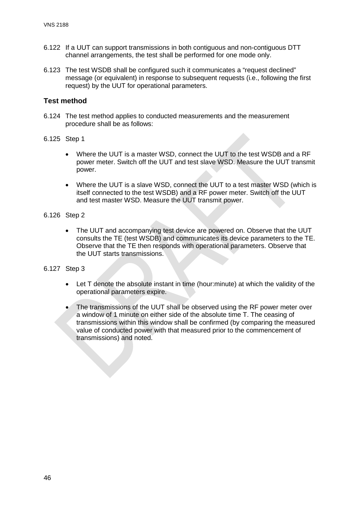- 6.122 If a UUT can support transmissions in both contiguous and non-contiguous DTT channel arrangements, the test shall be performed for one mode only.
- 6.123 The test WSDB shall be configured such it communicates a "request declined" message (or equivalent) in response to subsequent requests (i.e., following the first request) by the UUT for operational parameters.

- 6.124 The test method applies to conducted measurements and the measurement procedure shall be as follows:
- 6.125 Step 1
	- Where the UUT is a master WSD, connect the UUT to the test WSDB and a RF power meter. Switch off the UUT and test slave WSD. Measure the UUT transmit power.
	- Where the UUT is a slave WSD, connect the UUT to a test master WSD (which is itself connected to the test WSDB) and a RF power meter. Switch off the UUT and test master WSD. Measure the UUT transmit power.
- 6.126 Step 2
	- The UUT and accompanying test device are powered on. Observe that the UUT consults the TE (test WSDB) and communicates its device parameters to the TE. Observe that the TE then responds with operational parameters. Observe that the UUT starts transmissions.
- 6.127 Step 3
	- Let T denote the absolute instant in time (hour:minute) at which the validity of the operational parameters expire.
	- The transmissions of the UUT shall be observed using the RF power meter over a window of 1 minute on either side of the absolute time T. The ceasing of transmissions within this window shall be confirmed (by comparing the measured value of conducted power with that measured prior to the commencement of transmissions) and noted.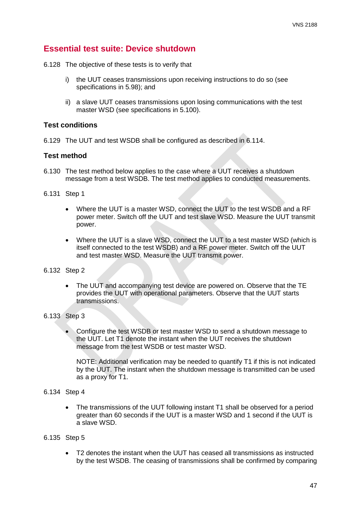# **Essential test suite: Device shutdown**

6.128 The objective of these tests is to verify that

- i) the UUT ceases transmissions upon receiving instructions to do so (see specifications in [5.98\)](#page-25-0); and
- ii) a slave UUT ceases transmissions upon losing communications with the test master WSD (see specifications in [5.100\)](#page-25-1).

#### **Test conditions**

6.129 The UUT and test WSDB shall be configured as described in [6.114.](#page-45-0)

#### **Test method**

6.130 The test method below applies to the case where a UUT receives a shutdown message from a test WSDB. The test method applies to conducted measurements.

6.131 Step 1

- Where the UUT is a master WSD, connect the UUT to the test WSDB and a RF power meter. Switch off the UUT and test slave WSD. Measure the UUT transmit power.
- Where the UUT is a slave WSD, connect the UUT to a test master WSD (which is itself connected to the test WSDB) and a RF power meter. Switch off the UUT and test master WSD. Measure the UUT transmit power.

#### 6.132 Step 2

• The UUT and accompanying test device are powered on. Observe that the TE provides the UUT with operational parameters. Observe that the UUT starts transmissions.

#### 6.133 Step 3

• Configure the test WSDB or test master WSD to send a shutdown message to the UUT. Let T1 denote the instant when the UUT receives the shutdown message from the test WSDB or test master WSD.

NOTE: Additional verification may be needed to quantify T1 if this is not indicated by the UUT. The instant when the shutdown message is transmitted can be used as a proxy for T1.

#### 6.134 Step 4

• The transmissions of the UUT following instant T1 shall be observed for a period greater than 60 seconds if the UUT is a master WSD and 1 second if the UUT is a slave WSD.

#### 6.135 Step 5

• T2 denotes the instant when the UUT has ceased all transmissions as instructed by the test WSDB. The ceasing of transmissions shall be confirmed by comparing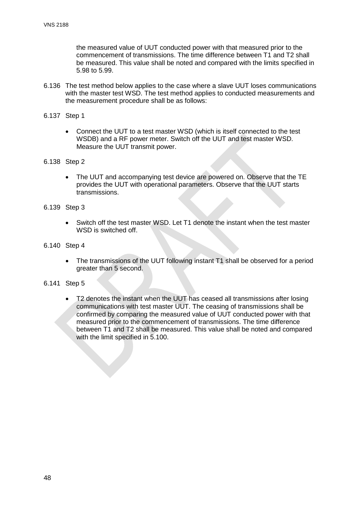the measured value of UUT conducted power with that measured prior to the commencement of transmissions. The time difference between T1 and T2 shall be measured. This value shall be noted and compared with the limits specified in [5.98](#page-25-0) to [5.99.](#page-25-2)

6.136 The test method below applies to the case where a slave UUT loses communications with the master test WSD. The test method applies to conducted measurements and the measurement procedure shall be as follows:

6.137 Step 1

- Connect the UUT to a test master WSD (which is itself connected to the test WSDB) and a RF power meter. Switch off the UUT and test master WSD. Measure the UUT transmit power.
- 6.138 Step 2
	- The UUT and accompanying test device are powered on. Observe that the TE provides the UUT with operational parameters. Observe that the UUT starts transmissions.
- 6.139 Step 3
	- Switch off the test master WSD. Let T1 denote the instant when the test master WSD is switched off.
- 6.140 Step 4
	- The transmissions of the UUT following instant T1 shall be observed for a period greater than 5 second.
- 6.141 Step 5
	- T2 denotes the instant when the UUT has ceased all transmissions after losing communications with test master UUT. The ceasing of transmissions shall be confirmed by comparing the measured value of UUT conducted power with that measured prior to the commencement of transmissions. The time difference between T1 and T2 shall be measured. This value shall be noted and compared with the limit specified in [5.100.](#page-25-1)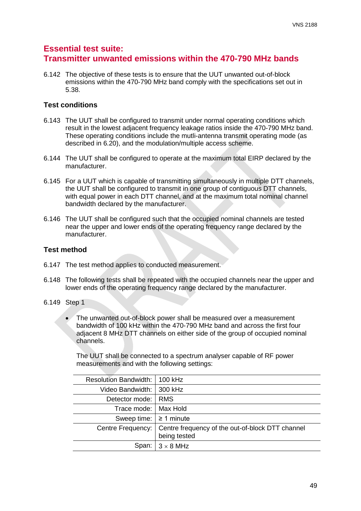# **Essential test suite: Transmitter unwanted emissions within the 470-790 MHz bands**

6.142 The objective of these tests is to ensure that the UUT unwanted out-of-block emissions within the 470-790 MHz band comply with the specifications set out in [5.38.](#page-14-0)

# **Test conditions**

- 6.143 The UUT shall be configured to transmit under normal operating conditions which result in the lowest adjacent frequency leakage ratios inside the 470-790 MHz band. These operating conditions include the mutli-antenna transmit operating mode (as described in [6.20\)](#page-29-0), and the modulation/multiple access scheme.
- 6.144 The UUT shall be configured to operate at the maximum total EIRP declared by the manufacturer.
- 6.145 For a UUT which is capable of transmitting simultaneously in multiple DTT channels, the UUT shall be configured to transmit in one group of contiguous DTT channels, with equal power in each DTT channel, and at the maximum total nominal channel bandwidth declared by the manufacturer.
- 6.146 The UUT shall be configured such that the occupied nominal channels are tested near the upper and lower ends of the operating frequency range declared by the manufacturer.

# **Test method**

- 6.147 The test method applies to conducted measurement.
- 6.148 The following tests shall be repeated with the occupied channels near the upper and lower ends of the operating frequency range declared by the manufacturer.
- 6.149 Step 1
	- The unwanted out-of-block power shall be measured over a measurement bandwidth of 100 kHz within the 470-790 MHz band and across the first four adjacent 8 MHz DTT channels on either side of the group of occupied nominal channels.

The UUT shall be connected to a spectrum analyser capable of RF power measurements and with the following settings:

| Resolution Bandwidth:   100 kHz |                                                                  |
|---------------------------------|------------------------------------------------------------------|
| Video Bandwidth:   300 kHz      |                                                                  |
| Detector mode:                  | <b>RMS</b>                                                       |
| Trace mode: I                   | Max Hold                                                         |
| Sweep time: $\geq 1$ minute     |                                                                  |
| Centre Frequency:               | Centre frequency of the out-of-block DTT channel<br>being tested |
| Span:                           | $3 \times 8$ MHz                                                 |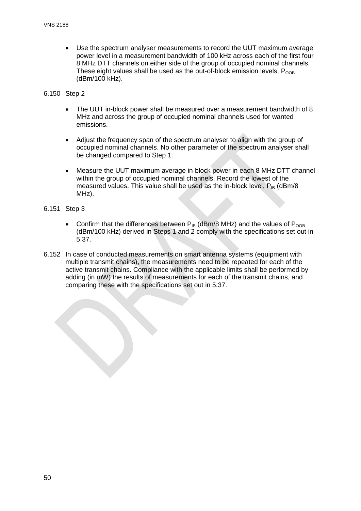• Use the spectrum analyser measurements to record the UUT maximum average power level in a measurement bandwidth of 100 kHz across each of the first four 8 MHz DTT channels on either side of the group of occupied nominal channels. These eight values shall be used as the out-of-block emission levels,  $P_{\text{OOR}}$ (dBm/100 kHz).

#### 6.150 Step 2

- The UUT in-block power shall be measured over a measurement bandwidth of 8 MHz and across the group of occupied nominal channels used for wanted emissions.
- Adjust the frequency span of the spectrum analyser to align with the group of occupied nominal channels. No other parameter of the spectrum analyser shall be changed compared to Step 1.
- Measure the UUT maximum average in-block power in each 8 MHz DTT channel within the group of occupied nominal channels. Record the lowest of the measured values. This value shall be used as the in-block level,  $P_{IB}$  (dBm/8) MHz).

#### 6.151 Step 3

- Confirm that the differences between  $P_{IB}$  (dBm/8 MHz) and the values of  $P_{OOB}$ (dBm/100 kHz) derived in Steps 1 and 2 comply with the specifications set out in [5.37.](#page-14-1)
- 6.152 In case of conducted measurements on smart antenna systems (equipment with multiple transmit chains), the measurements need to be repeated for each of the active transmit chains. Compliance with the applicable limits shall be performed by adding (in mW) the results of measurements for each of the transmit chains, and comparing these with the specifications set out in [5.37.](#page-14-1)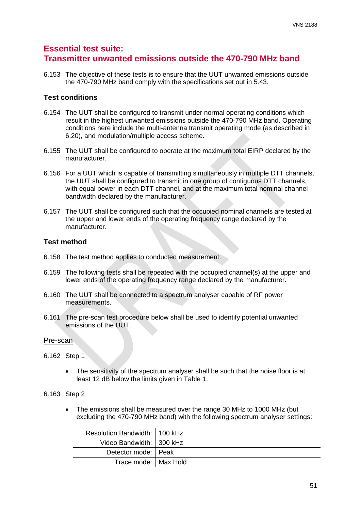# **Essential test suite: Transmitter unwanted emissions outside the 470-790 MHz band**

6.153 The objective of these tests is to ensure that the UUT unwanted emissions outside the 470-790 MHz band comply with the specifications set out in [5.43.](#page-17-0)

## **Test conditions**

- 6.154 The UUT shall be configured to transmit under normal operating conditions which result in the highest unwanted emissions outside the 470-790 MHz band. Operating conditions here include the multi-antenna transmit operating mode (as described in [6.20\)](#page-29-0), and modulation/multiple access scheme.
- 6.155 The UUT shall be configured to operate at the maximum total EIRP declared by the manufacturer.
- 6.156 For a UUT which is capable of transmitting simultaneously in multiple DTT channels, the UUT shall be configured to transmit in one group of contiguous DTT channels, with equal power in each DTT channel, and at the maximum total nominal channel bandwidth declared by the manufacturer.
- 6.157 The UUT shall be configured such that the occupied nominal channels are tested at the upper and lower ends of the operating frequency range declared by the manufacturer.

## **Test method**

- 6.158 The test method applies to conducted measurement.
- 6.159 The following tests shall be repeated with the occupied channel(s) at the upper and lower ends of the operating frequency range declared by the manufacturer.
- 6.160 The UUT shall be connected to a spectrum analyser capable of RF power measurements.
- 6.161 The pre-scan test procedure below shall be used to identify potential unwanted emissions of the UUT.

#### Pre-scan

- 6.162 Step 1
	- The sensitivity of the spectrum analyser shall be such that the noise floor is at least 12 dB below the limits given in Table 1.
- 6.163 Step 2
	- The emissions shall be measured over the range 30 MHz to 1000 MHz (but excluding the 470-790 MHz band) with the following spectrum analyser settings:

| Resolution Bandwidth: 100 kHz |  |
|-------------------------------|--|
| Video Bandwidth:   300 kHz    |  |
| Detector mode: Peak           |  |
| Trace mode: I Max Hold        |  |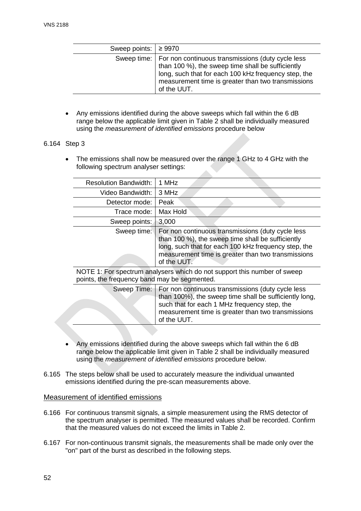| Sweep points: $\geq 9970$ |                                                                                                                                                                                                                                                   |
|---------------------------|---------------------------------------------------------------------------------------------------------------------------------------------------------------------------------------------------------------------------------------------------|
|                           | Sweep time:   For non continuous transmissions (duty cycle less<br>than 100 %), the sweep time shall be sufficiently<br>long, such that for each 100 kHz frequency step, the<br>measurement time is greater than two transmissions<br>of the UUT. |

• Any emissions identified during the above sweeps which fall within the 6 dB range below the applicable limit given in Table 2 shall be individually measured using the *measurement of identified emissions* procedure below

#### 6.164 Step 3

The emissions shall now be measured over the range 1 GHz to 4 GHz with the following spectrum analyser settings:

| <b>Resolution Bandwidth:</b>                                                                                             | 1 MHz                                                                                                                                                                                                                               |
|--------------------------------------------------------------------------------------------------------------------------|-------------------------------------------------------------------------------------------------------------------------------------------------------------------------------------------------------------------------------------|
| Video Bandwidth:                                                                                                         | 3 MHz                                                                                                                                                                                                                               |
| Detector mode:                                                                                                           | Peak                                                                                                                                                                                                                                |
| Trace mode:                                                                                                              | Max Hold                                                                                                                                                                                                                            |
| Sweep points:                                                                                                            | 3.000                                                                                                                                                                                                                               |
| Sweep time:                                                                                                              | For non continuous transmissions (duty cycle less<br>than 100 %), the sweep time shall be sufficiently<br>long, such that for each 100 kHz frequency step, the<br>measurement time is greater than two transmissions<br>of the UUT. |
| NOTE 1: For spectrum analysers which do not support this number of sweep<br>points, the frequency band may be segmented. |                                                                                                                                                                                                                                     |
|                                                                                                                          | Sweep Time:   For non continuous transmissions (duty cycle less<br>than $100\%$ ) the sweep time shall be sufficiently long                                                                                                         |

| than 100%), the sweep time shall be sufficiently long,<br>such that for each 1 MHz frequency step, the<br>measurement time is greater than two transmissions<br>of the UUT. |
|-----------------------------------------------------------------------------------------------------------------------------------------------------------------------------|
|                                                                                                                                                                             |

- Any emissions identified during the above sweeps which fall within the 6 dB range below the applicable limit given in Table 2 shall be individually measured using the *measurement of identified emissions* procedure below.
- 6.165 The steps below shall be used to accurately measure the individual unwanted emissions identified during the pre-scan measurements above.

#### Measurement of identified emissions

- 6.166 For continuous transmit signals, a simple measurement using the RMS detector of the spectrum analyser is permitted. The measured values shall be recorded. Confirm that the measured values do not exceed the limits in Table 2.
- 6.167 For non-continuous transmit signals, the measurements shall be made only over the "on" part of the burst as described in the following steps.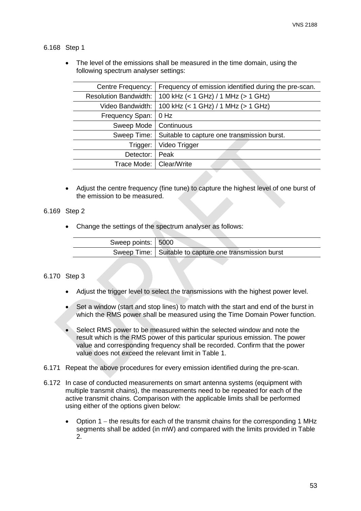#### 6.168 Step 1

The level of the emissions shall be measured in the time domain, using the following spectrum analyser settings:

| Centre Frequency:            | Frequency of emission identified during the pre-scan. |
|------------------------------|-------------------------------------------------------|
| <b>Resolution Bandwidth:</b> | 100 kHz (< 1 GHz) / 1 MHz (> 1 GHz)                   |
| Video Bandwidth:             | 100 kHz (< 1 GHz) / 1 MHz (> 1 GHz)                   |
| Frequency Span:              | $0$ Hz                                                |
| Sweep Mode                   | Continuous                                            |
| Sweep Time:                  | Suitable to capture one transmission burst.           |
| Trigger:                     | Video Trigger                                         |
| Detector:                    | Peak                                                  |
| Trace Mode:                  | Clear/Write                                           |
|                              |                                                       |

• Adjust the centre frequency (fine tune) to capture the highest level of one burst of the emission to be measured.

#### 6.169 Step 2

• Change the settings of the spectrum analyser as follows:

| Sweep points: 5000 |                                                          |
|--------------------|----------------------------------------------------------|
|                    | Sweep Time:   Suitable to capture one transmission burst |

#### 6.170 Step 3

- Adjust the trigger level to select the transmissions with the highest power level.
- Set a window (start and stop lines) to match with the start and end of the burst in which the RMS power shall be measured using the Time Domain Power function.
- Select RMS power to be measured within the selected window and note the result which is the RMS power of this particular spurious emission. The power value and corresponding frequency shall be recorded. Confirm that the power value does not exceed the relevant limit in Table 1.
- 6.171 Repeat the above procedures for every emission identified during the pre-scan.
- 6.172 In case of conducted measurements on smart antenna systems (equipment with multiple transmit chains), the measurements need to be repeated for each of the active transmit chains. Comparison with the applicable limits shall be performed using either of the options given below:
	- Option 1 − the results for each of the transmit chains for the corresponding 1 MHz segments shall be added (in mW) and compared with the limits provided in Table 2.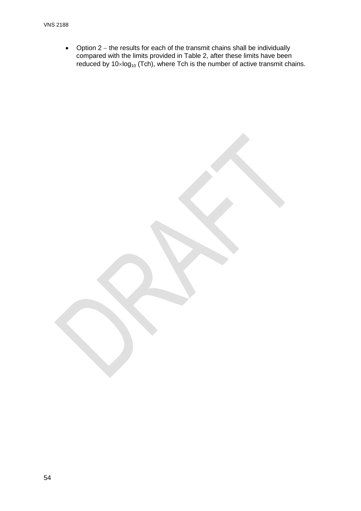• Option 2 − the results for each of the transmit chains shall be individually compared with the limits provided in Table 2, after these limits have been reduced by  $10 \times log_{10}$  (Tch), where Tch is the number of active transmit chains.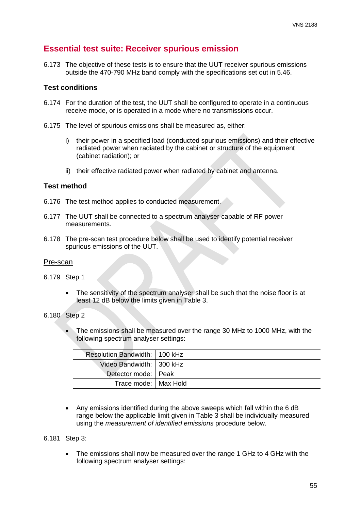# **Essential test suite: Receiver spurious emission**

6.173 The objective of these tests is to ensure that the UUT receiver spurious emissions outside the 470-790 MHz band comply with the specifications set out in [5.46.](#page-17-1)

## **Test conditions**

- 6.174 For the duration of the test, the UUT shall be configured to operate in a continuous receive mode, or is operated in a mode where no transmissions occur.
- 6.175 The level of spurious emissions shall be measured as, either:
	- i) their power in a specified load (conducted spurious emissions) and their effective radiated power when radiated by the cabinet or structure of the equipment (cabinet radiation); or
	- ii) their effective radiated power when radiated by cabinet and antenna.

## **Test method**

- 6.176 The test method applies to conducted measurement.
- 6.177 The UUT shall be connected to a spectrum analyser capable of RF power measurements.
- 6.178 The pre-scan test procedure below shall be used to identify potential receiver spurious emissions of the UUT.

#### Pre-scan

- 6.179 Step 1
	- The sensitivity of the spectrum analyser shall be such that the noise floor is at least 12 dB below the limits given in Table 3.
- 6.180 Step 2
	- The emissions shall be measured over the range 30 MHz to 1000 MHz, with the following spectrum analyser settings:

| Resolution Bandwidth:   100 kHz |  |
|---------------------------------|--|
| Video Bandwidth:   300 kHz      |  |
| Detector mode: Peak             |  |
| Trace mode: I Max Hold          |  |

• Any emissions identified during the above sweeps which fall within the 6 dB range below the applicable limit given in Table 3 shall be individually measured using the *measurement of identified emissions* procedure below.

#### 6.181 Step 3:

The emissions shall now be measured over the range 1 GHz to 4 GHz with the following spectrum analyser settings: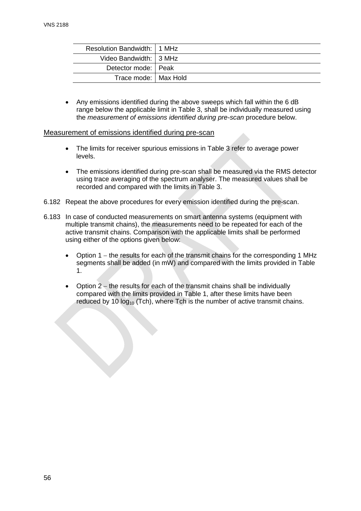| Resolution Bandwidth: 11 MHz |  |
|------------------------------|--|
| Video Bandwidth: 3 MHz       |  |
| Detector mode: Peak          |  |
| Trace mode:   Max Hold       |  |

• Any emissions identified during the above sweeps which fall within the 6 dB range below the applicable limit in Table 3, shall be individually measured using the *measurement of emissions identified during pre-scan* procedure below.

#### Measurement of emissions identified during pre-scan

- The limits for receiver spurious emissions in Table 3 refer to average power levels.
- The emissions identified during pre-scan shall be measured via the RMS detector using trace averaging of the spectrum analyser. The measured values shall be recorded and compared with the limits in Table 3.
- 6.182 Repeat the above procedures for every emission identified during the pre-scan.
- 6.183 In case of conducted measurements on smart antenna systems (equipment with multiple transmit chains), the measurements need to be repeated for each of the active transmit chains. Comparison with the applicable limits shall be performed using either of the options given below:
	- Option 1 − the results for each of the transmit chains for the corresponding 1 MHz segments shall be added (in mW) and compared with the limits provided in Table 1.
	- Option 2 − the results for each of the transmit chains shall be individually compared with the limits provided in Table 1, after these limits have been reduced by 10  $log_{10}$  (Tch), where Tch is the number of active transmit chains.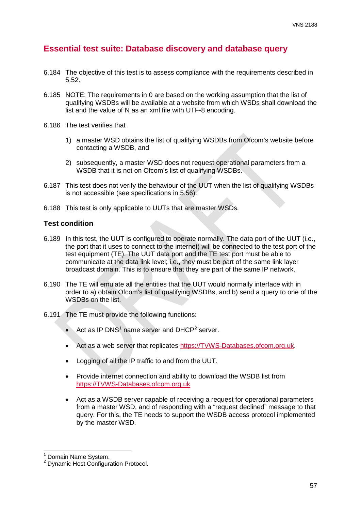# **Essential test suite: Database discovery and database query**

- 6.184 The objective of this test is to assess compliance with the requirements described in [5.52.](#page-18-0)
- 6.185 NOTE: The requirements in [0](#page-18-1) are based on the working assumption that the list of qualifying WSDBs will be available at a website from which WSDs shall download the list and the value of N as an xml file with UTF-8 encoding.
- 6.186 The test verifies that
	- 1) a master WSD obtains the list of qualifying WSDBs from Ofcom's website before contacting a WSDB, and
	- 2) subsequently, a master WSD does not request operational parameters from a WSDB that it is not on Ofcom's list of qualifying WSDBs.
- 6.187 This test does not verify the behaviour of the UUT when the list of qualifying WSDBs is not accessible (see specifications in [5.56\)](#page-18-2).
- 6.188 This test is only applicable to UUTs that are master WSDs.

## **Test condition**

- 6.189 In this test, the UUT is configured to operate normally. The data port of the UUT (i.e., the port that it uses to connect to the internet) will be connected to the test port of the test equipment (TE). The UUT data port and the TE test port must be able to communicate at the data link level; i.e., they must be part of the same link layer broadcast domain. This is to ensure that they are part of the same IP network.
- 6.190 The TE will emulate all the entities that the UUT would normally interface with in order to a) obtain Ofcom's list of qualifying WSDBs, and b) send a query to one of the WSDBs on the list.
- 6.191 The TE must provide the following functions:
	- Act as IP DNS<sup>[1](#page-57-0)</sup> name server and DHCP<sup>[2](#page-57-1)</sup> server.
	- Act as a web server that replicates [https://TVWS-Databases.ofcom.org.uk.](https://tvws-databases.ofcom.org.uk/)
	- Logging of all the IP traffic to and from the UUT.
	- Provide internet connection and ability to download the WSDB list from [https://TVWS-Databases.ofcom.org.uk](https://tvws-databases.ofcom.org.uk/)
	- Act as a WSDB server capable of receiving a request for operational parameters from a master WSD, and of responding with a "request declined" message to that query. For this, the TE needs to support the WSDB access protocol implemented by the master WSD.

Domain Name System.

<span id="page-57-1"></span><span id="page-57-0"></span><sup>&</sup>lt;sup>2</sup> Dynamic Host Configuration Protocol.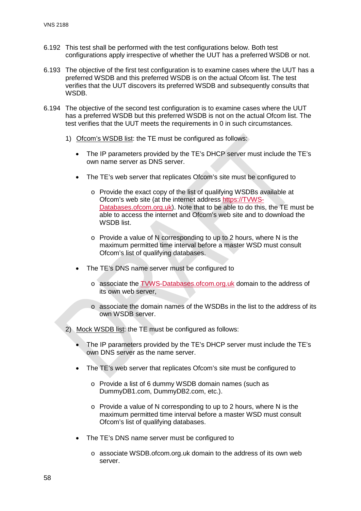- 6.192 This test shall be performed with the test configurations below. Both test configurations apply irrespective of whether the UUT has a preferred WSDB or not.
- 6.193 The objective of the first test configuration is to examine cases where the UUT has a preferred WSDB and this preferred WSDB is on the actual Ofcom list. The test verifies that the UUT discovers its preferred WSDB and subsequently consults that WSDB.
- 6.194 The objective of the second test configuration is to examine cases where the UUT has a preferred WSDB but this preferred WSDB is not on the actual Ofcom list. The test verifies that the UUT meets the requirements in [0](#page-18-1) in such circumstances.
	- 1) Ofcom's WSDB list: the TE must be configured as follows:
		- The IP parameters provided by the TE's DHCP server must include the TE's own name server as DNS server.
		- The TE's web server that replicates Ofcom's site must be configured to
			- o Provide the exact copy of the list of qualifying WSDBs available at Ofcom's web site (at the internet address [https://TVWS-](https://tvws-databases.ofcom.org.uk/)[Databases.ofcom.org.uk\)](https://tvws-databases.ofcom.org.uk/). Note that to be able to do this, the TE must be able to access the internet and Ofcom's web site and to download the WSDB list.
			- o Provide a value of N corresponding to up to 2 hours, where N is the maximum permitted time interval before a master WSD must consult Ofcom's list of qualifying databases.
		- The TE's DNS name server must be configured to
			- o associate the [TVWS-Databases.ofcom.org.uk](https://tvws_databases.ofcom.org.uk/) domain to the address of its own web server,
			- o associate the domain names of the WSDBs in the list to the address of its own WSDB server.
	- 2) Mock WSDB list: the TE must be configured as follows:
		- The IP parameters provided by the TE's DHCP server must include the TE's own DNS server as the name server.
		- The TE's web server that replicates Ofcom's site must be configured to
			- o Provide a list of 6 dummy WSDB domain names (such as DummyDB1.com, DummyDB2.com, etc.).
			- o Provide a value of N corresponding to up to 2 hours, where N is the maximum permitted time interval before a master WSD must consult Ofcom's list of qualifying databases.
		- The TE's DNS name server must be configured to
			- $\circ$  associate WSDB of com.org.uk domain to the address of its own web server.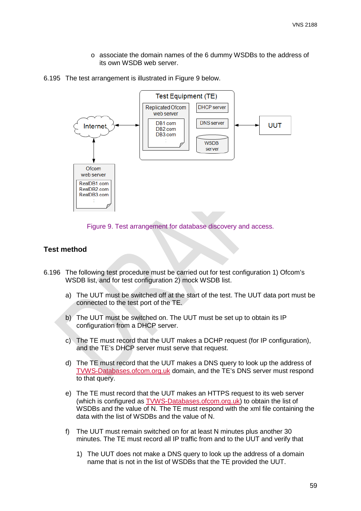- o associate the domain names of the 6 dummy WSDBs to the address of its own WSDB web server.
- 6.195 The test arrangement is illustrated in Figure 9 below.



Figure 9. Test arrangement for database discovery and access.

- 6.196 The following test procedure must be carried out for test configuration 1) Ofcom's WSDB list, and for test configuration 2) mock WSDB list.
	- a) The UUT must be switched off at the start of the test. The UUT data port must be connected to the test port of the TE.
	- b) The UUT must be switched on. The UUT must be set up to obtain its IP configuration from a DHCP server.
	- c) The TE must record that the UUT makes a DCHP request (for IP configuration), and the TE's DHCP server must serve that request.
	- d) The TE must record that the UUT makes a DNS query to look up the address of [TVWS-Databases.ofcom.org.uk](https://tvws_databases.ofcom.org.uk/) domain, and the TE's DNS server must respond to that query.
	- e) The TE must record that the UUT makes an HTTPS request to its web server (which is configured as [TVWS-Databases.ofcom.org.uk\)](https://tvws_databases.ofcom.org.uk/) to obtain the list of WSDBs and the value of N. The TE must respond with the xml file containing the data with the list of WSDBs and the value of N.
	- f) The UUT must remain switched on for at least N minutes plus another 30 minutes. The TE must record all IP traffic from and to the UUT and verify that
		- 1) The UUT does not make a DNS query to look up the address of a domain name that is not in the list of WSDBs that the TE provided the UUT.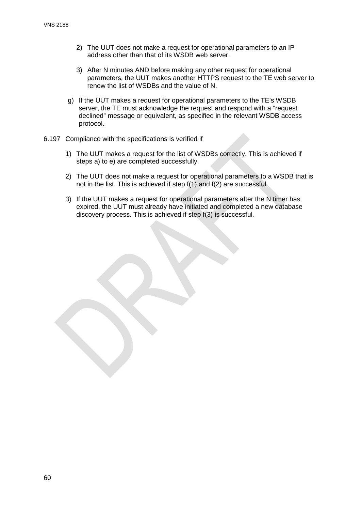- 2) The UUT does not make a request for operational parameters to an IP address other than that of its WSDB web server.
- 3) After N minutes AND before making any other request for operational parameters, the UUT makes another HTTPS request to the TE web server to renew the list of WSDBs and the value of N.
- g) If the UUT makes a request for operational parameters to the TE's WSDB server, the TE must acknowledge the request and respond with a "request declined" message or equivalent, as specified in the relevant WSDB access protocol.
- 6.197 Compliance with the specifications is verified if
	- 1) The UUT makes a request for the list of WSDBs correctly. This is achieved if steps a) to e) are completed successfully.
	- 2) The UUT does not make a request for operational parameters to a WSDB that is not in the list. This is achieved if step f(1) and f(2) are successful.
	- 3) If the UUT makes a request for operational parameters after the N timer has expired, the UUT must already have initiated and completed a new database discovery process. This is achieved if step f(3) is successful.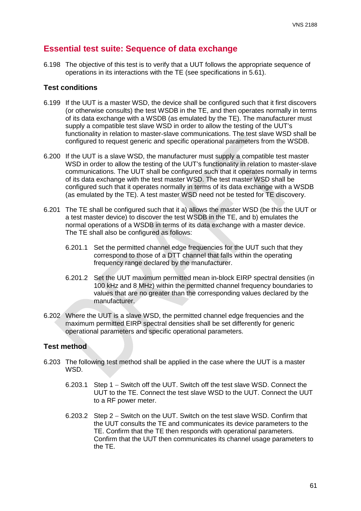# **Essential test suite: Sequence of data exchange**

<span id="page-61-0"></span>6.198 The objective of this test is to verify that a UUT follows the appropriate sequence of operations in its interactions with the TE (see specifications in [5.61\)](#page-19-0).

#### **Test conditions**

- 6.199 If the UUT is a master WSD, the device shall be configured such that it first discovers (or otherwise consults) the test WSDB in the TE, and then operates normally in terms of its data exchange with a WSDB (as emulated by the TE). The manufacturer must supply a compatible test slave WSD in order to allow the testing of the UUT's functionality in relation to master-slave communications. The test slave WSD shall be configured to request generic and specific operational parameters from the WSDB.
- 6.200 If the UUT is a slave WSD, the manufacturer must supply a compatible test master WSD in order to allow the testing of the UUT's functionality in relation to master-slave communications. The UUT shall be configured such that it operates normally in terms of its data exchange with the test master WSD. The test master WSD shall be configured such that it operates normally in terms of its data exchange with a WSDB (as emulated by the TE). A test master WSD need not be tested for TE discovery.
- <span id="page-61-1"></span>6.201 The TE shall be configured such that it a) allows the master WSD (be this the UUT or a test master device) to discover the test WSDB in the TE, and b) emulates the normal operations of a WSDB in terms of its data exchange with a master device. The TE shall also be configured as follows:
	- 6.201.1 Set the permitted channel edge frequencies for the UUT such that they correspond to those of a DTT channel that falls within the operating frequency range declared by the manufacturer.
	- 6.201.2 Set the UUT maximum permitted mean in-block EIRP spectral densities (in 100 kHz and 8 MHz) within the permitted channel frequency boundaries to values that are no greater than the corresponding values declared by the manufacturer.
- 6.202 Where the UUT is a slave WSD, the permitted channel edge frequencies and the maximum permitted EIRP spectral densities shall be set differently for generic operational parameters and specific operational parameters.

- 6.203 The following test method shall be applied in the case where the UUT is a master WSD.
	- 6.203.1 Step 1 − Switch off the UUT. Switch off the test slave WSD. Connect the UUT to the TE. Connect the test slave WSD to the UUT. Connect the UUT to a RF power meter.
	- 6.203.2 Step 2 − Switch on the UUT. Switch on the test slave WSD. Confirm that the UUT consults the TE and communicates its device parameters to the TE. Confirm that the TE then responds with operational parameters. Confirm that the UUT then communicates its channel usage parameters to the TE.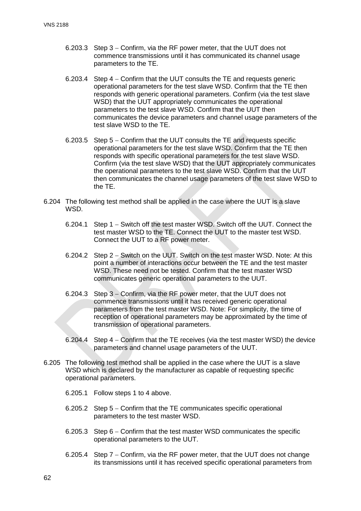- 6.203.3 Step 3 − Confirm, via the RF power meter, that the UUT does not commence transmissions until it has communicated its channel usage parameters to the TE.
- 6.203.4 Step 4 − Confirm that the UUT consults the TE and requests generic operational parameters for the test slave WSD. Confirm that the TE then responds with generic operational parameters. Confirm (via the test slave WSD) that the UUT appropriately communicates the operational parameters to the test slave WSD. Confirm that the UUT then communicates the device parameters and channel usage parameters of the test slave WSD to the TE.
- 6.203.5 Step 5 − Confirm that the UUT consults the TE and requests specific operational parameters for the test slave WSD. Confirm that the TE then responds with specific operational parameters for the test slave WSD. Confirm (via the test slave WSD) that the UUT appropriately communicates the operational parameters to the test slave WSD. Confirm that the UUT then communicates the channel usage parameters of the test slave WSD to the TE.
- 6.204 The following test method shall be applied in the case where the UUT is a slave WSD.
	- 6.204.1 Step 1 − Switch off the test master WSD. Switch off the UUT. Connect the test master WSD to the TE. Connect the UUT to the master test WSD. Connect the UUT to a RF power meter.
	- 6.204.2 Step 2 − Switch on the UUT. Switch on the test master WSD. Note: At this point a number of interactions occur between the TE and the test master WSD. These need not be tested. Confirm that the test master WSD communicates generic operational parameters to the UUT.
	- 6.204.3 Step 3 − Confirm, via the RF power meter, that the UUT does not commence transmissions until it has received generic operational parameters from the test master WSD. Note: For simplicity, the time of reception of operational parameters may be approximated by the time of transmission of operational parameters.
	- 6.204.4 Step 4 − Confirm that the TE receives (via the test master WSD) the device parameters and channel usage parameters of the UUT.
- 6.205 The following test method shall be applied in the case where the UUT is a slave WSD which is declared by the manufacturer as capable of requesting specific operational parameters.
	- 6.205.1 Follow steps 1 to 4 above.
	- 6.205.2 Step 5 − Confirm that the TE communicates specific operational parameters to the test master WSD.
	- 6.205.3 Step 6 − Confirm that the test master WSD communicates the specific operational parameters to the UUT.
	- 6.205.4 Step 7 − Confirm, via the RF power meter, that the UUT does not change its transmissions until it has received specific operational parameters from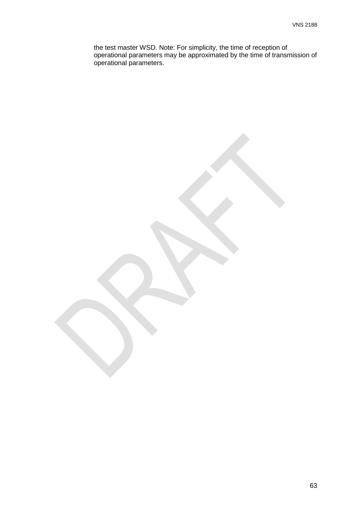the test master WSD. Note: For simplicity, the time of reception of operational parameters may be approximated by the time of transmission of operational parameters.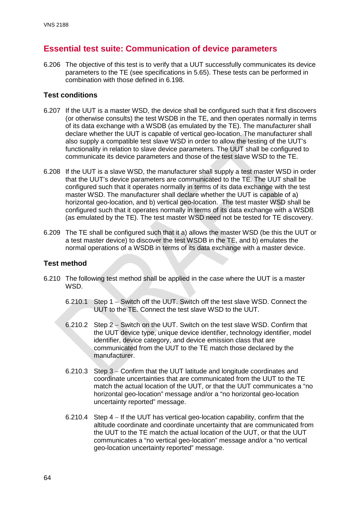# **Essential test suite: Communication of device parameters**

6.206 The objective of this test is to verify that a UUT successfully communicates its device parameters to the TE (see specifications in [5.65\)](#page-20-0). These tests can be performed in combination with those defined in [6.198.](#page-61-0)

## **Test conditions**

- 6.207 If the UUT is a master WSD, the device shall be configured such that it first discovers (or otherwise consults) the test WSDB in the TE, and then operates normally in terms of its data exchange with a WSDB (as emulated by the TE). The manufacturer shall declare whether the UUT is capable of vertical geo-location. The manufacturer shall also supply a compatible test slave WSD in order to allow the testing of the UUT's functionality in relation to slave device parameters. The UUT shall be configured to communicate its device parameters and those of the test slave WSD to the TE.
- 6.208 If the UUT is a slave WSD, the manufacturer shall supply a test master WSD in order that the UUT's device parameters are communicated to the TE. The UUT shall be configured such that it operates normally in terms of its data exchange with the test master WSD. The manufacturer shall declare whether the UUT is capable of a) horizontal geo-location, and b) vertical geo-location. The test master WSD shall be configured such that it operates normally in terms of its data exchange with a WSDB (as emulated by the TE). The test master WSD need not be tested for TE discovery.
- 6.209 The TE shall be configured such that it a) allows the master WSD (be this the UUT or a test master device) to discover the test WSDB in the TE, and b) emulates the normal operations of a WSDB in terms of its data exchange with a master device.

- 6.210 The following test method shall be applied in the case where the UUT is a master WSD.
	- 6.210.1 Step 1 − Switch off the UUT. Switch off the test slave WSD. Connect the UUT to the TE. Connect the test slave WSD to the UUT.
	- 6.210.2 Step 2 − Switch on the UUT. Switch on the test slave WSD. Confirm that the UUT device type, unique device identifier, technology identifier, model identifier, device category, and device emission class that are communicated from the UUT to the TE match those declared by the manufacturer.
	- 6.210.3 Step 3 − Confirm that the UUT latitude and longitude coordinates and coordinate uncertainties that are communicated from the UUT to the TE match the actual location of the UUT, or that the UUT communicates a "no horizontal geo-location" message and/or a "no horizontal geo-location uncertainty reported" message.
	- 6.210.4 Step 4 − If the UUT has vertical geo-location capability, confirm that the altitude coordinate and coordinate uncertainty that are communicated from the UUT to the TE match the actual location of the UUT, or that the UUT communicates a "no vertical geo-location" message and/or a "no vertical geo-location uncertainty reported" message.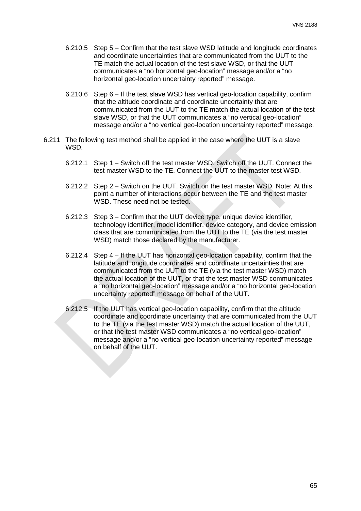- 6.210.5 Step 5 − Confirm that the test slave WSD latitude and longitude coordinates and coordinate uncertainties that are communicated from the UUT to the TE match the actual location of the test slave WSD, or that the UUT communicates a "no horizontal geo-location" message and/or a "no horizontal geo-location uncertainty reported" message.
- 6.210.6 Step 6 − If the test slave WSD has vertical geo-location capability, confirm that the altitude coordinate and coordinate uncertainty that are communicated from the UUT to the TE match the actual location of the test slave WSD, or that the UUT communicates a "no vertical geo-location" message and/or a "no vertical geo-location uncertainty reported" message.
- 6.211 The following test method shall be applied in the case where the UUT is a slave WSD.
	- 6.212.1 Step 1 − Switch off the test master WSD. Switch off the UUT. Connect the test master WSD to the TE. Connect the UUT to the master test WSD.
	- 6.212.2 Step 2 − Switch on the UUT. Switch on the test master WSD. Note: At this point a number of interactions occur between the TE and the test master WSD. These need not be tested.
	- 6.212.3 Step 3 − Confirm that the UUT device type, unique device identifier, technology identifier, model identifier, device category, and device emission class that are communicated from the UUT to the TE (via the test master WSD) match those declared by the manufacturer.
	- 6.212.4 Step 4 − If the UUT has horizontal geo-location capability, confirm that the latitude and longitude coordinates and coordinate uncertainties that are communicated from the UUT to the TE (via the test master WSD) match the actual location of the UUT, or that the test master WSD communicates a "no horizontal geo-location" message and/or a "no horizontal geo-location uncertainty reported" message on behalf of the UUT.
	- 6.212.5 If the UUT has vertical geo-location capability, confirm that the altitude coordinate and coordinate uncertainty that are communicated from the UUT to the TE (via the test master WSD) match the actual location of the UUT, or that the test master WSD communicates a "no vertical geo-location" message and/or a "no vertical geo-location uncertainty reported" message on behalf of the UUT.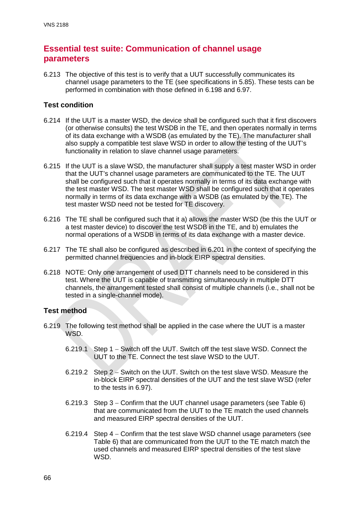# **Essential test suite: Communication of channel usage parameters**

6.213 The objective of this test is to verify that a UUT successfully communicates its channel usage parameters to the TE (see specifications in [5.85\)](#page-23-0). These tests can be performed in combination with those defined in [6.198](#page-61-0) and [6.97.](#page-42-0)

## **Test condition**

- 6.214 If the UUT is a master WSD, the device shall be configured such that it first discovers (or otherwise consults) the test WSDB in the TE, and then operates normally in terms of its data exchange with a WSDB (as emulated by the TE). The manufacturer shall also supply a compatible test slave WSD in order to allow the testing of the UUT's functionality in relation to slave channel usage parameters.
- 6.215 If the UUT is a slave WSD, the manufacturer shall supply a test master WSD in order that the UUT's channel usage parameters are communicated to the TE. The UUT shall be configured such that it operates normally in terms of its data exchange with the test master WSD. The test master WSD shall be configured such that it operates normally in terms of its data exchange with a WSDB (as emulated by the TE). The test master WSD need not be tested for TE discovery.
- 6.216 The TE shall be configured such that it a) allows the master WSD (be this the UUT or a test master device) to discover the test WSDB in the TE, and b) emulates the normal operations of a WSDB in terms of its data exchange with a master device.
- 6.217 The TE shall also be configured as described in [6.201](#page-61-1) in the context of specifying the permitted channel frequencies and in-block EIRP spectral densities.
- 6.218 NOTE: Only one arrangement of used DTT channels need to be considered in this test. Where the UUT is capable of transmitting simultaneously in multiple DTT channels, the arrangement tested shall consist of multiple channels (i.e., shall not be tested in a single-channel mode).

- 6.219 The following test method shall be applied in the case where the UUT is a master WSD.
	- 6.219.1 Step 1 − Switch off the UUT. Switch off the test slave WSD. Connect the UUT to the TE. Connect the test slave WSD to the UUT.
	- 6.219.2 Step 2 − Switch on the UUT. Switch on the test slave WSD. Measure the in-block EIRP spectral densities of the UUT and the test slave WSD (refer to the tests in [6.97\)](#page-42-0).
	- 6.219.3 Step 3 − Confirm that the UUT channel usage parameters (see Table 6) that are communicated from the UUT to the TE match the used channels and measured EIRP spectral densities of the UUT.
	- 6.219.4 Step 4 − Confirm that the test slave WSD channel usage parameters (see Table 6) that are communicated from the UUT to the TE match match the used channels and measured EIRP spectral densities of the test slave **WSD.**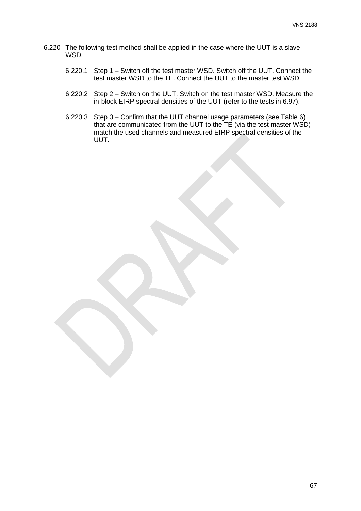- 6.220 The following test method shall be applied in the case where the UUT is a slave WSD.
	- 6.220.1 Step 1 − Switch off the test master WSD. Switch off the UUT. Connect the test master WSD to the TE. Connect the UUT to the master test WSD.
	- 6.220.2 Step 2 − Switch on the UUT. Switch on the test master WSD. Measure the in-block EIRP spectral densities of the UUT (refer to the tests in [6.97\)](#page-42-0).
	- 6.220.3 Step 3 − Confirm that the UUT channel usage parameters (see Table 6) that are communicated from the UUT to the TE (via the test master WSD) match the used channels and measured EIRP spectral densities of the UUT.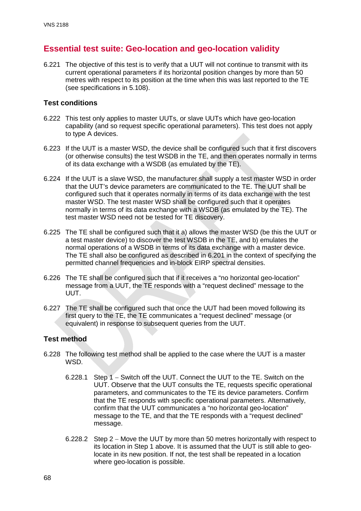# **Essential test suite: Geo-location and geo-location validity**

6.221 The objective of this test is to verify that a UUT will not continue to transmit with its current operational parameters if its horizontal position changes by more than 50 metres with respect to its position at the time when this was last reported to the TE (see specifications in [5.108\)](#page-26-0).

# **Test conditions**

- 6.222 This test only applies to master UUTs, or slave UUTs which have geo-location capability (and so request specific operational parameters). This test does not apply to type A devices.
- 6.223 If the UUT is a master WSD, the device shall be configured such that it first discovers (or otherwise consults) the test WSDB in the TE, and then operates normally in terms of its data exchange with a WSDB (as emulated by the TE).
- 6.224 If the UUT is a slave WSD, the manufacturer shall supply a test master WSD in order that the UUT's device parameters are communicated to the TE. The UUT shall be configured such that it operates normally in terms of its data exchange with the test master WSD. The test master WSD shall be configured such that it operates normally in terms of its data exchange with a WSDB (as emulated by the TE). The test master WSD need not be tested for TE discovery.
- 6.225 The TE shall be configured such that it a) allows the master WSD (be this the UUT or a test master device) to discover the test WSDB in the TE, and b) emulates the normal operations of a WSDB in terms of its data exchange with a master device. The TE shall also be configured as described in [6.201](#page-61-1) in the context of specifying the permitted channel frequencies and in-block EIRP spectral densities.
- 6.226 The TE shall be configured such that if it receives a "no horizontal geo-location" message from a UUT, the TE responds with a "request declined" message to the UUT.
- 6.227 The TE shall be configured such that once the UUT had been moved following its first query to the TE, the TE communicates a "request declined" message (or equivalent) in response to subsequent queries from the UUT.

- 6.228 The following test method shall be applied to the case where the UUT is a master WSD.
	- 6.228.1 Step 1 − Switch off the UUT. Connect the UUT to the TE. Switch on the UUT. Observe that the UUT consults the TE, requests specific operational parameters, and communicates to the TE its device parameters. Confirm that the TE responds with specific operational parameters. Alternatively, confirm that the UUT communicates a "no horizontal geo-location" message to the TE, and that the TE responds with a "request declined" message.
	- 6.228.2 Step 2 − Move the UUT by more than 50 metres horizontally with respect to its location in Step 1 above. It is assumed that the UUT is still able to geolocate in its new position. If not, the test shall be repeated in a location where geo-location is possible.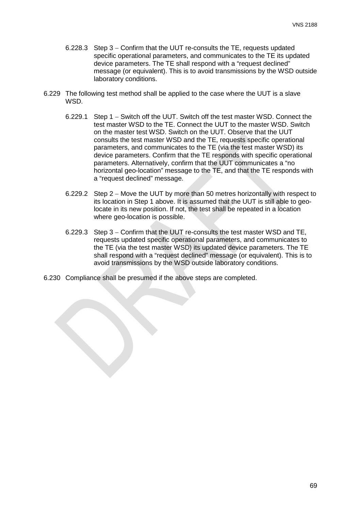- 6.228.3 Step 3 − Confirm that the UUT re-consults the TE, requests updated specific operational parameters, and communicates to the TE its updated device parameters. The TE shall respond with a "request declined" message (or equivalent). This is to avoid transmissions by the WSD outside laboratory conditions.
- 6.229 The following test method shall be applied to the case where the UUT is a slave WSD.
	- 6.229.1 Step 1 − Switch off the UUT. Switch off the test master WSD. Connect the test master WSD to the TE. Connect the UUT to the master WSD. Switch on the master test WSD. Switch on the UUT. Observe that the UUT consults the test master WSD and the TE, requests specific operational parameters, and communicates to the TE (via the test master WSD) its device parameters. Confirm that the TE responds with specific operational parameters. Alternatively, confirm that the UUT communicates a "no horizontal geo-location" message to the TE, and that the TE responds with a "request declined" message.
	- 6.229.2 Step 2 − Move the UUT by more than 50 metres horizontally with respect to its location in Step 1 above. It is assumed that the UUT is still able to geolocate in its new position. If not, the test shall be repeated in a location where geo-location is possible.
	- 6.229.3 Step 3 − Confirm that the UUT re-consults the test master WSD and TE, requests updated specific operational parameters, and communicates to the TE (via the test master WSD) its updated device parameters. The TE shall respond with a "request declined" message (or equivalent). This is to avoid transmissions by the WSD outside laboratory conditions.
- 6.230 Compliance shall be presumed if the above steps are completed.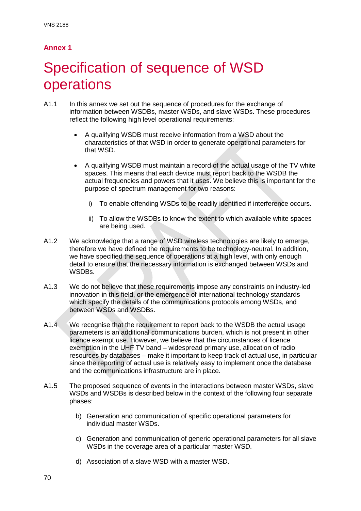# **Annex 1**

# Specification of sequence of WSD operations

- A1.1 In this annex we set out the sequence of procedures for the exchange of information between WSDBs, master WSDs, and slave WSDs. These procedures reflect the following high level operational requirements:
	- A qualifying WSDB must receive information from a WSD about the characteristics of that WSD in order to generate operational parameters for that WSD.
	- A qualifying WSDB must maintain a record of the actual usage of the TV white spaces. This means that each device must report back to the WSDB the actual frequencies and powers that it uses. We believe this is important for the purpose of spectrum management for two reasons:
		- i) To enable offending WSDs to be readily identified if interference occurs.
		- ii) To allow the WSDBs to know the extent to which available white spaces are being used.
- A1.2 We acknowledge that a range of WSD wireless technologies are likely to emerge, therefore we have defined the requirements to be technology-neutral. In addition, we have specified the sequence of operations at a high level, with only enough detail to ensure that the necessary information is exchanged between WSDs and WSDBs.
- A1.3 We do not believe that these requirements impose any constraints on industry-led innovation in this field, or the emergence of international technology standards which specify the details of the communications protocols among WSDs, and between WSDs and WSDBs.
- A1.4 We recognise that the requirement to report back to the WSDB the actual usage parameters is an additional communications burden, which is not present in other licence exempt use. However, we believe that the circumstances of licence exemption in the UHF TV band – widespread primary use, allocation of radio resources by databases – make it important to keep track of actual use, in particular since the reporting of actual use is relatively easy to implement once the database and the communications infrastructure are in place.
- A1.5 The proposed sequence of events in the interactions between master WSDs, slave WSDs and WSDBs is described below in the context of the following four separate phases:
	- b) Generation and communication of specific operational parameters for individual master WSDs.
	- c) Generation and communication of generic operational parameters for all slave WSDs in the coverage area of a particular master WSD.
	- d) Association of a slave WSD with a master WSD.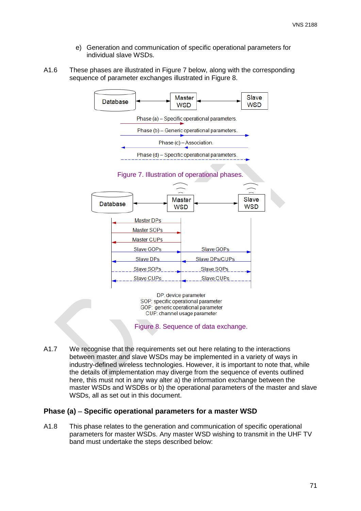- e) Generation and communication of specific operational parameters for individual slave WSDs.
- A1.6 These phases are illustrated in Figure 7 below, along with the corresponding sequence of parameter exchanges illustrated in Figure 8.



CUP: channel usage parameter

Figure 8. Sequence of data exchange.

A1.7 We recognise that the requirements set out here relating to the interactions between master and slave WSDs may be implemented in a variety of ways in industry-defined wireless technologies. However, it is important to note that, while the details of implementation may diverge from the sequence of events outlined here, this must not in any way alter a) the information exchange between the master WSDs and WSDBs or b) the operational parameters of the master and slave WSDs, all as set out in this document.

#### **Phase (a)** − **Specific operational parameters for a master WSD**

A1.8 This phase relates to the generation and communication of specific operational parameters for master WSDs. Any master WSD wishing to transmit in the UHF TV band must undertake the steps described below: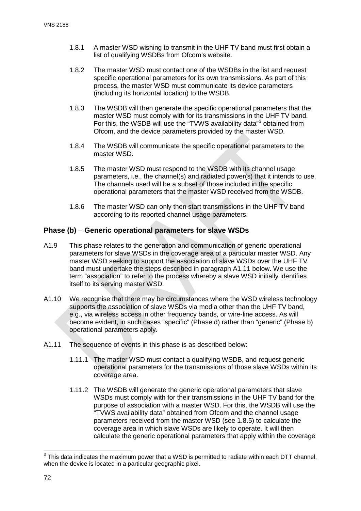- 1.8.1 A master WSD wishing to transmit in the UHF TV band must first obtain a list of qualifying WSDBs from Ofcom's website.
- 1.8.2 The master WSD must contact one of the WSDBs in the list and request specific operational parameters for its own transmissions. As part of this process, the master WSD must communicate its device parameters (including its horizontal location) to the WSDB.
- 1.8.3 The WSDB will then generate the specific operational parameters that the master WSD must comply with for its transmissions in the UHF TV band. For this, the WSDB will use the "TVWS availability data"[3](#page-72-2) obtained from Ofcom, and the device parameters provided by the master WSD.
- 1.8.4 The WSDB will communicate the specific operational parameters to the master WSD.
- <span id="page-72-1"></span>1.8.5 The master WSD must respond to the WSDB with its channel usage parameters, i.e., the channel(s) and radiated power(s) that it intends to use. The channels used will be a subset of those included in the specific operational parameters that the master WSD received from the WSDB.
- 1.8.6 The master WSD can only then start transmissions in the UHF TV band according to its reported channel usage parameters.

#### **Phase (b)** − **Generic operational parameters for slave WSDs**

- A1.9 This phase relates to the generation and communication of generic operational parameters for slave WSDs in the coverage area of a particular master WSD. Any master WSD seeking to support the association of slave WSDs over the UHF TV band must undertake the steps described in paragraph [A1.11](#page-72-0) below. We use the term "association" to refer to the process whereby a slave WSD initially identifies itself to its serving master WSD.
- A1.10 We recognise that there may be circumstances where the WSD wireless technology supports the association of slave WSDs via media other than the UHF TV band, e.g., via wireless access in other frequency bands, or wire-line access. As will become evident, in such cases "specific" (Phase d) rather than "generic" (Phase b) operational parameters apply.
- <span id="page-72-0"></span>A1.11 The sequence of events in this phase is as described below:
	- 1.11.1 The master WSD must contact a qualifying WSDB, and request generic operational parameters for the transmissions of those slave WSDs within its coverage area.
	- 1.11.2 The WSDB will generate the generic operational parameters that slave WSDs must comply with for their transmissions in the UHF TV band for the purpose of association with a master WSD. For this, the WSDB will use the "TVWS availability data" obtained from Ofcom and the channel usage parameters received from the master WSD (see [1.8.5\)](#page-72-1) to calculate the coverage area in which slave WSDs are likely to operate. It will then calculate the generic operational parameters that apply within the coverage

<span id="page-72-2"></span> $3$  This data indicates the maximum power that a WSD is permitted to radiate within each DTT channel, when the device is located in a particular geographic pixel.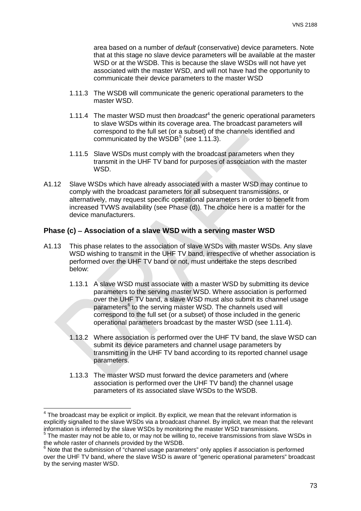area based on a number of *default* (conservative) device parameters. Note that at this stage no slave device parameters will be available at the master WSD or at the WSDB. This is because the slave WSDs will not have yet associated with the master WSD, and will not have had the opportunity to communicate their device parameters to the master WSD

- <span id="page-73-0"></span>1.11.3 The WSDB will communicate the generic operational parameters to the master WSD.
- <span id="page-73-1"></span>1.11.[4](#page-73-2) The master WSD must then *broadcast<sup>4</sup>* the generic operational parameters to slave WSDs within its coverage area. The broadcast parameters will correspond to the full set (or a subset) of the channels identified and communicated by the WSDB $<sup>5</sup>$  $<sup>5</sup>$  $<sup>5</sup>$  (see [1.11.3\)](#page-73-0).</sup>
- 1.11.5 Slave WSDs must comply with the broadcast parameters when they transmit in the UHF TV band for purposes of association with the master WSD.
- A1.12 Slave WSDs which have already associated with a master WSD may continue to comply with the broadcast parameters for all subsequent transmissions, or alternatively, may request specific operational parameters in order to benefit from increased TVWS availability (see Phase (d)). The choice here is a matter for the device manufacturers.

#### **Phase (c)** − **Association of a slave WSD with a serving master WSD**

- A1.13 This phase relates to the association of slave WSDs with master WSDs. Any slave WSD wishing to transmit in the UHF TV band, irrespective of whether association is performed over the UHF TV band or not, must undertake the steps described below:
	- 1.13.1 A slave WSD must associate with a master WSD by submitting its device parameters to the serving master WSD. Where association is performed over the UHF TV band, a slave WSD must also submit its channel usage parameters<sup>[6](#page-73-4)</sup> to the serving master WSD. The channels used will correspond to the full set (or a subset) of those included in the generic operational parameters broadcast by the master WSD (see [1.11.4\)](#page-73-1).
	- 1.13.2 Where association is performed over the UHF TV band, the slave WSD can submit its device parameters and channel usage parameters by transmitting in the UHF TV band according to its reported channel usage parameters.
	- 1.13.3 The master WSD must forward the device parameters and (where association is performed over the UHF TV band) the channel usage parameters of its associated slave WSDs to the WSDB.

<span id="page-73-5"></span><span id="page-73-2"></span>The broadcast may be explicit or implicit. By explicit, we mean that the relevant information is explicitly signalled to the slave WSDs via a broadcast channel. By implicit, we mean that the relevant information is inferred by the slave WSDs by monitoring the master WSD transmissions.

<span id="page-73-3"></span><sup>&</sup>lt;sup>5</sup> The master may not be able to, or may not be willing to, receive transmissions from slave WSDs in the whole raster of channels provided by the WSDB.

<span id="page-73-4"></span><sup>&</sup>lt;sup>6</sup> Note that the submission of "channel usage parameters" only applies if association is performed over the UHF TV band, where the slave WSD is aware of "generic operational parameters" broadcast by the serving master WSD.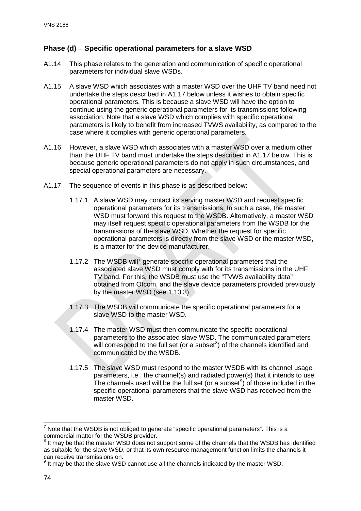#### **Phase (d)** − **Specific operational parameters for a slave WSD**

- A1.14 This phase relates to the generation and communication of specific operational parameters for individual slave WSDs.
- A1.15 A slave WSD which associates with a master WSD over the UHF TV band need not undertake the steps described in [A1.17](#page-74-0) below unless it wishes to obtain specific operational parameters. This is because a slave WSD will have the option to continue using the generic operational parameters for its transmissions following association. Note that a slave WSD which complies with specific operational parameters is likely to benefit from increased TVWS availability, as compared to the case where it complies with generic operational parameters.
- A1.16 However, a slave WSD which associates with a master WSD over a medium other than the UHF TV band must undertake the steps described in [A1.17](#page-74-0) below. This is because generic operational parameters do not apply in such circumstances, and special operational parameters are necessary.
- <span id="page-74-0"></span>A1.17 The sequence of events in this phase is as described below:
	- 1.17.1 A slave WSD may contact its serving master WSD and request specific operational parameters for its transmissions. In such a case, the master WSD must forward this request to the WSDB. Alternatively, a master WSD may itself request specific operational parameters from the WSDB for the transmissions of the slave WSD. Whether the request for specific operational parameters is directly from the slave WSD or the master WSD, is a matter for the device manufacturer.
	- 1.1[7](#page-74-1).2 The WSDB will<sup>7</sup> generate specific operational parameters that the associated slave WSD must comply with for its transmissions in the UHF TV band. For this, the WSDB must use the "TVWS availability data" obtained from Ofcom, and the slave device parameters provided previously by the master WSD (see [1.13.3\)](#page-73-5).
	- 1.17.3 The WSDB will communicate the specific operational parameters for a slave WSD to the master WSD.
	- 1.17.4 The master WSD must then communicate the specific operational parameters to the associated slave WSD. The communicated parameters will correspond to the full set (or a subset $8$ ) of the channels identified and communicated by the WSDB.
	- 1.17.5 The slave WSD must respond to the master WSDB with its channel usage parameters, i.e., the channel(s) and radiated power(s) that it intends to use. The channels used will be the full set (or a subset $9$ ) of those included in the specific operational parameters that the slave WSD has received from the master WSD.

<span id="page-74-1"></span> $<sup>7</sup>$  Note that the WSDB is not obliged to generate "specific operational parameters". This is a</sup> commercial matter for the WSDB provider.

<span id="page-74-2"></span>It may be that the master WSD does not support some of the channels that the WSDB has identified as suitable for the slave WSD, or that its own resource management function limits the channels it can receive transmissions on.

<span id="page-74-3"></span> $<sup>9</sup>$  It may be that the slave WSD cannot use all the channels indicated by the master WSD.</sup>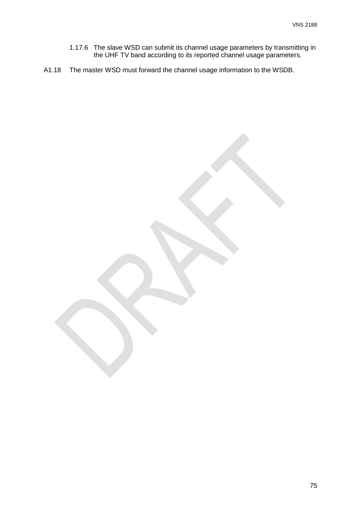- 1.17.6 The slave WSD can submit its channel usage parameters by transmitting in the UHF TV band according to its reported channel usage parameters.
- A1.18 The master WSD must forward the channel usage information to the WSDB.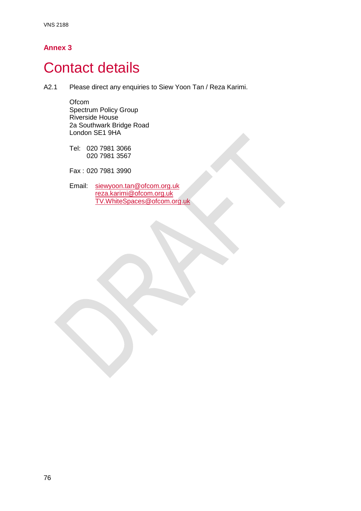### **Annex 3**

# **Contact details**

A2.1 Please direct any enquiries to Siew Yoon Tan / Reza Karimi.

**Ofcom** Spectrum Policy Group Riverside House 2a Southwark Bridge Road London SE1 9HA

Tel: 020 7981 3066 020 7981 3567

Fax : 020 7981 3990

Email: [siewyoon.tan@ofcom.org.uk](mailto:siewyoon.tan@ofcom.org.uk) [reza.karimi@ofcom.org.uk](mailto:reza.karimi@ofcom.org.uk) [TV.WhiteSpaces@ofcom.org.uk](mailto:TV.WhiteSpaces@ofcom.org.uk)